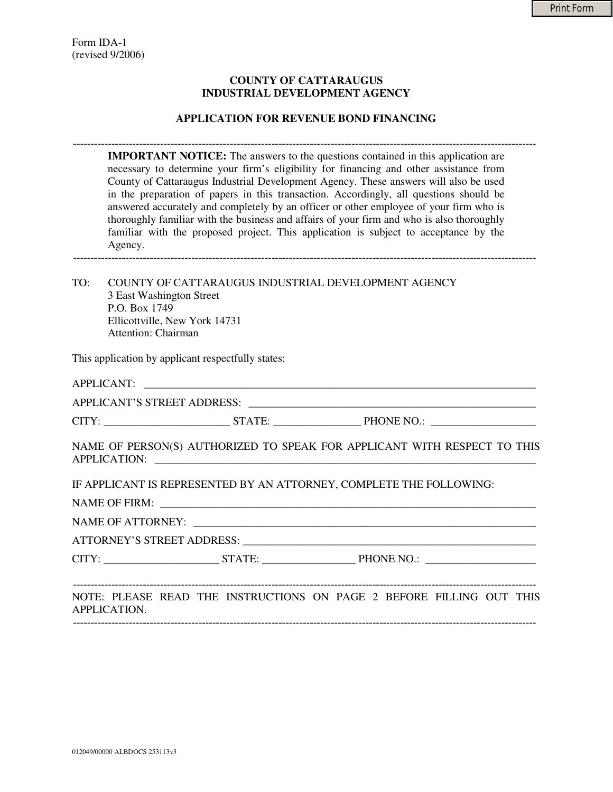### **COUNTY OF CATTARAUGUS INDUSTRIAL DEVELOPMENT AGENCY**

#### **APPLICATION FOR REVENUE BOND FINANCING**

------------------------------------------------------------------------------------------------------------------------------------- **IMPORTANT NOTICE:** The answers to the questions contained in this application are necessary to determine your firm's eligibility for financing and other assistance from County of Cattaraugus Industrial Development Agency. These answers will also be used in the preparation of papers in this transaction. Accordingly, all questions should be answered accurately and completely by an officer or other employee of your firm who is thoroughly familiar with the business and affairs of your firm and who is also thoroughly familiar with the proposed project. This application is subject to acceptance by the Agency. -------------------------------------------------------------------------------------------------------------------------------------

TO: COUNTY OF CATTARAUGUS INDUSTRIAL DEVELOPMENT AGENCY 3 East Washington Street P.O. Box 1749 Ellicottville, New York 14731 Attention: Chairman

This application by applicant respectfully states:

|              | APPLICANT:                                                               |  |
|--------------|--------------------------------------------------------------------------|--|
|              |                                                                          |  |
|              |                                                                          |  |
|              | NAME OF PERSON(S) AUTHORIZED TO SPEAK FOR APPLICANT WITH RESPECT TO THIS |  |
|              | IF APPLICANT IS REPRESENTED BY AN ATTORNEY, COMPLETE THE FOLLOWING:      |  |
|              |                                                                          |  |
|              |                                                                          |  |
|              |                                                                          |  |
|              |                                                                          |  |
|              |                                                                          |  |
| APPLICATION. | NOTE: PLEASE READ THE INSTRUCTIONS ON PAGE 2 BEFORE FILLING OUT THIS     |  |

-------------------------------------------------------------------------------------------------------------------------------------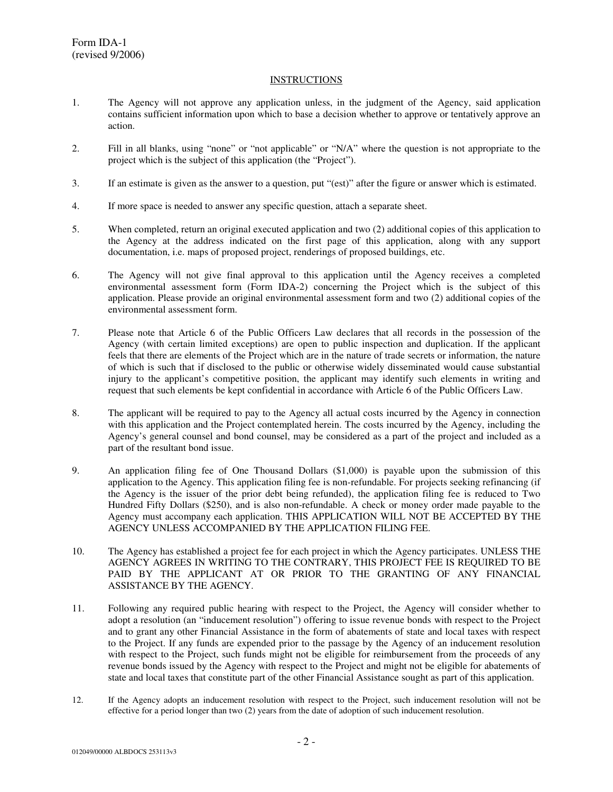#### INSTRUCTIONS

- 1. The Agency will not approve any application unless, in the judgment of the Agency, said application contains sufficient information upon which to base a decision whether to approve or tentatively approve an action.
- 2. Fill in all blanks, using "none" or "not applicable" or "N/A" where the question is not appropriate to the project which is the subject of this application (the "Project").
- 3. If an estimate is given as the answer to a question, put "(est)" after the figure or answer which is estimated.
- 4. If more space is needed to answer any specific question, attach a separate sheet.
- 5. When completed, return an original executed application and two (2) additional copies of this application to the Agency at the address indicated on the first page of this application, along with any support documentation, i.e. maps of proposed project, renderings of proposed buildings, etc.
- 6. The Agency will not give final approval to this application until the Agency receives a completed environmental assessment form (Form IDA-2) concerning the Project which is the subject of this application. Please provide an original environmental assessment form and two (2) additional copies of the environmental assessment form.
- 7. Please note that Article 6 of the Public Officers Law declares that all records in the possession of the Agency (with certain limited exceptions) are open to public inspection and duplication. If the applicant feels that there are elements of the Project which are in the nature of trade secrets or information, the nature of which is such that if disclosed to the public or otherwise widely disseminated would cause substantial injury to the applicant's competitive position, the applicant may identify such elements in writing and request that such elements be kept confidential in accordance with Article 6 of the Public Officers Law.
- 8. The applicant will be required to pay to the Agency all actual costs incurred by the Agency in connection with this application and the Project contemplated herein. The costs incurred by the Agency, including the Agency's general counsel and bond counsel, may be considered as a part of the project and included as a part of the resultant bond issue.
- 9. An application filing fee of One Thousand Dollars (\$1,000) is payable upon the submission of this application to the Agency. This application filing fee is non-refundable. For projects seeking refinancing (if the Agency is the issuer of the prior debt being refunded), the application filing fee is reduced to Two Hundred Fifty Dollars (\$250), and is also non-refundable. A check or money order made payable to the Agency must accompany each application. THIS APPLICATION WILL NOT BE ACCEPTED BY THE AGENCY UNLESS ACCOMPANIED BY THE APPLICATION FILING FEE.
- 10. The Agency has established a project fee for each project in which the Agency participates. UNLESS THE AGENCY AGREES IN WRITING TO THE CONTRARY, THIS PROJECT FEE IS REQUIRED TO BE PAID BY THE APPLICANT AT OR PRIOR TO THE GRANTING OF ANY FINANCIAL ASSISTANCE BY THE AGENCY.
- 11. Following any required public hearing with respect to the Project, the Agency will consider whether to adopt a resolution (an "inducement resolution") offering to issue revenue bonds with respect to the Project and to grant any other Financial Assistance in the form of abatements of state and local taxes with respect to the Project. If any funds are expended prior to the passage by the Agency of an inducement resolution with respect to the Project, such funds might not be eligible for reimbursement from the proceeds of any revenue bonds issued by the Agency with respect to the Project and might not be eligible for abatements of state and local taxes that constitute part of the other Financial Assistance sought as part of this application.
- 12. If the Agency adopts an inducement resolution with respect to the Project, such inducement resolution will not be effective for a period longer than two (2) years from the date of adoption of such inducement resolution.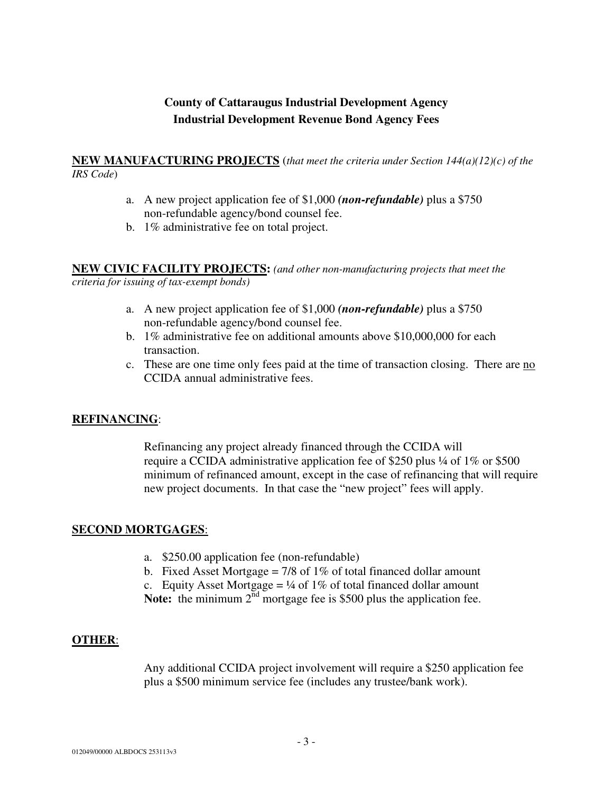# **County of Cattaraugus Industrial Development Agency Industrial Development Revenue Bond Agency Fees**

### **NEW MANUFACTURING PROJECTS** (*that meet the criteria under Section 144(a)(12)(c) of the IRS Code*)

- a. A new project application fee of \$1,000 *(non-refundable)* plus a \$750 non-refundable agency/bond counsel fee.
- b. 1% administrative fee on total project.

**NEW CIVIC FACILITY PROJECTS:** *(and other non-manufacturing projects that meet the criteria for issuing of tax-exempt bonds)*

- a. A new project application fee of \$1,000 *(non-refundable)* plus a \$750 non-refundable agency/bond counsel fee.
- b. 1% administrative fee on additional amounts above \$10,000,000 for each transaction.
- c. These are one time only fees paid at the time of transaction closing. There are no CCIDA annual administrative fees.

# **REFINANCING**:

Refinancing any project already financed through the CCIDA will require a CCIDA administrative application fee of \$250 plus ¼ of 1% or \$500 minimum of refinanced amount, except in the case of refinancing that will require new project documents. In that case the "new project" fees will apply.

## **SECOND MORTGAGES**:

- a. \$250.00 application fee (non-refundable)
- b. Fixed Asset Mortgage =  $7/8$  of 1% of total financed dollar amount
- c. Equity Asset Mortgage =  $\frac{1}{4}$  of 1% of total financed dollar amount
- Note: the minimum 2<sup>nd</sup> mortgage fee is \$500 plus the application fee.

## **OTHER**:

Any additional CCIDA project involvement will require a \$250 application fee plus a \$500 minimum service fee (includes any trustee/bank work).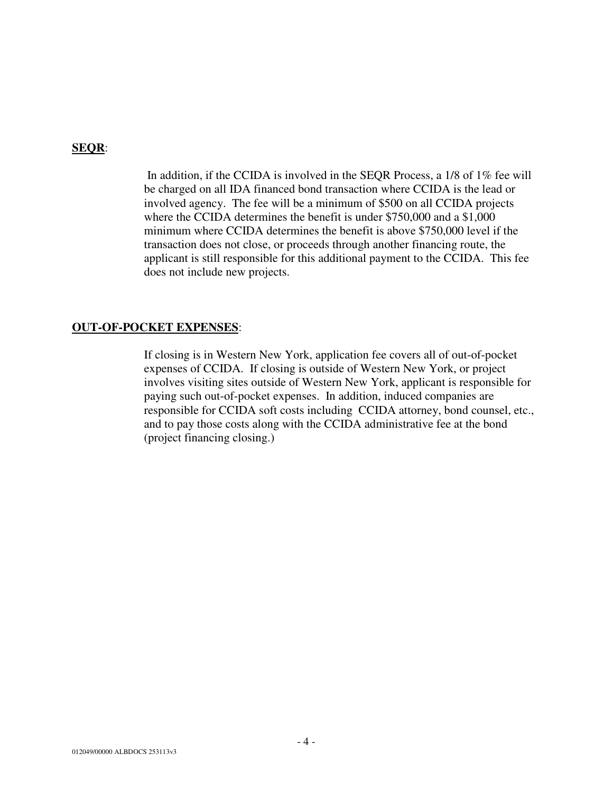# **SEQR**:

In addition, if the CCIDA is involved in the SEQR Process, a 1/8 of 1% fee will be charged on all IDA financed bond transaction where CCIDA is the lead or involved agency. The fee will be a minimum of \$500 on all CCIDA projects where the CCIDA determines the benefit is under \$750,000 and a \$1,000 minimum where CCIDA determines the benefit is above \$750,000 level if the transaction does not close, or proceeds through another financing route, the applicant is still responsible for this additional payment to the CCIDA. This fee does not include new projects.

## **OUT-OF-POCKET EXPENSES**:

If closing is in Western New York, application fee covers all of out-of-pocket expenses of CCIDA. If closing is outside of Western New York, or project involves visiting sites outside of Western New York, applicant is responsible for paying such out-of-pocket expenses. In addition, induced companies are responsible for CCIDA soft costs including CCIDA attorney, bond counsel, etc., and to pay those costs along with the CCIDA administrative fee at the bond (project financing closing.)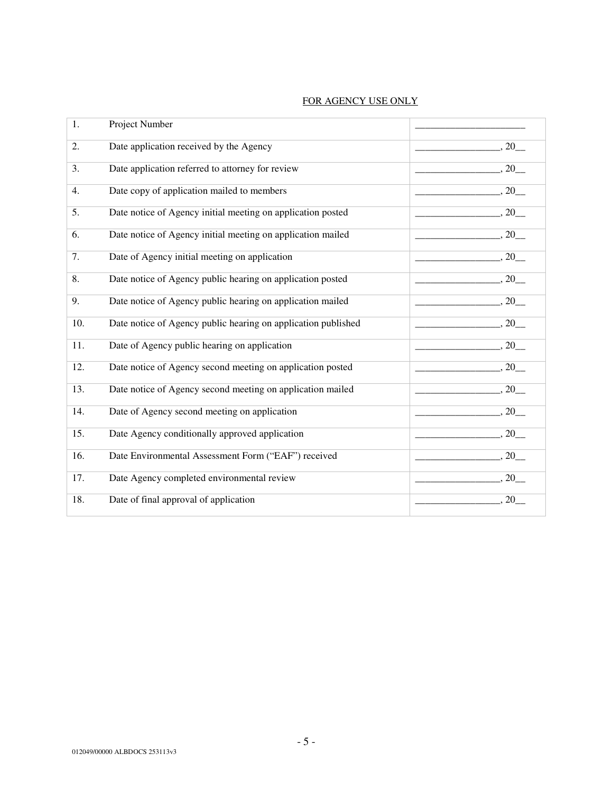| 1.  | Project Number                                                |                                                        |
|-----|---------------------------------------------------------------|--------------------------------------------------------|
| 2.  | Date application received by the Agency                       | $\frac{1}{2}$ , 20                                     |
| 3.  | Date application referred to attorney for review              | $\frac{1}{2}$ , 20                                     |
| 4.  | Date copy of application mailed to members                    | $\frac{1}{2}$ , 20                                     |
| 5.  | Date notice of Agency initial meeting on application posted   | $\frac{1}{20}$ , 20                                    |
| 6.  | Date notice of Agency initial meeting on application mailed   | $\sim$ 20                                              |
| 7.  | Date of Agency initial meeting on application                 | $\frac{1}{20}$ , 20                                    |
| 8.  | Date notice of Agency public hearing on application posted    | $\frac{1}{20}$ , 20                                    |
| 9.  | Date notice of Agency public hearing on application mailed    | $\frac{1}{20}$ , 20                                    |
| 10. | Date notice of Agency public hearing on application published | $\overline{\phantom{a}}$ , 20 $\overline{\phantom{a}}$ |
| 11. | Date of Agency public hearing on application                  | $\overline{\phantom{a}}$ , 20                          |
| 12. | Date notice of Agency second meeting on application posted    | $\sim$ $, 20$                                          |
| 13. | Date notice of Agency second meeting on application mailed    | $\frac{1}{20}$ , 20                                    |
| 14. | Date of Agency second meeting on application                  | $\frac{1}{2}$ , 20                                     |
| 15. | Date Agency conditionally approved application                | $\frac{1}{20}$                                         |
| 16. | Date Environmental Assessment Form ("EAF") received           | $\frac{1}{2}$ , 20                                     |
| 17. | Date Agency completed environmental review                    | $\frac{1}{20}$ , 20                                    |
| 18. | Date of final approval of application                         | $\sim$ 20                                              |

#### FOR AGENCY USE ONLY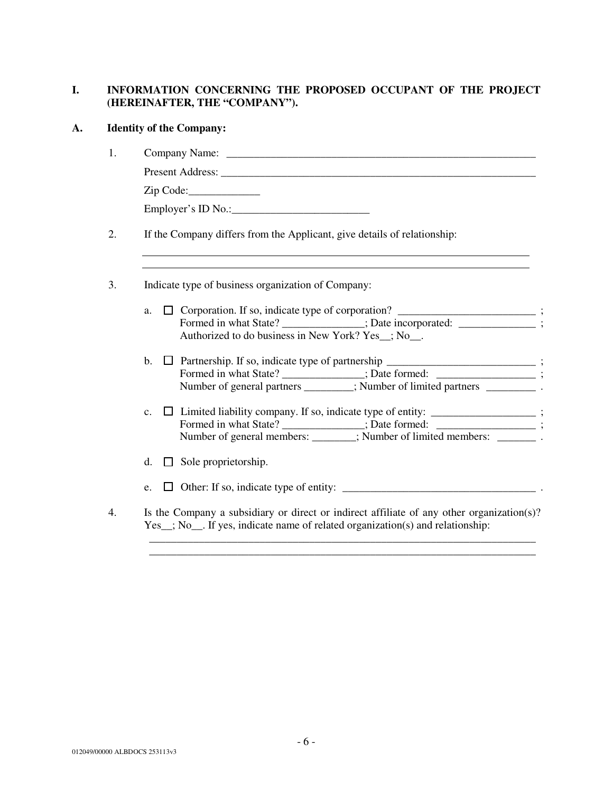# **I. INFORMATION CONCERNING THE PROPOSED OCCUPANT OF THE PROJECT (HEREINAFTER, THE "COMPANY").**

# **A. Identity of the Company:**

|                | Zip Code:                                                                         |
|----------------|-----------------------------------------------------------------------------------|
|                | Employer's ID No.:                                                                |
|                | If the Company differs from the Applicant, give details of relationship:          |
|                | Indicate type of business organization of Company:                                |
|                | a. $\Box$ Corporation. If so, indicate type of corporation? ____________________; |
|                | Formed in what State? ____________; Date incorporated: ___________;               |
|                | Authorized to do business in New York? Yes _; No __.                              |
| $\mathbf{b}$ . | □ Partnership. If so, indicate type of partnership ____________________________;  |
|                | Formed in what State? _____________; Date formed: ______________;                 |
|                | Number of general partners _______; Number of limited partners __________.        |
| $\mathbf{c}$ . | □ Limited liability company. If so, indicate type of entity: ________________;    |
|                | Formed in what State? _____________; Date formed: ______________;                 |
|                | Number of general members: _______; Number of limited members: ________.          |
|                | d. $\Box$ Sole proprietorship.                                                    |
|                | e. $\Box$ Other: If so, indicate type of entity:                                  |

\_\_\_\_\_\_\_\_\_\_\_\_\_\_\_\_\_\_\_\_\_\_\_\_\_\_\_\_\_\_\_\_\_\_\_\_\_\_\_\_\_\_\_\_\_\_\_\_\_\_\_\_\_\_\_\_\_\_\_\_\_\_\_\_\_\_\_\_\_\_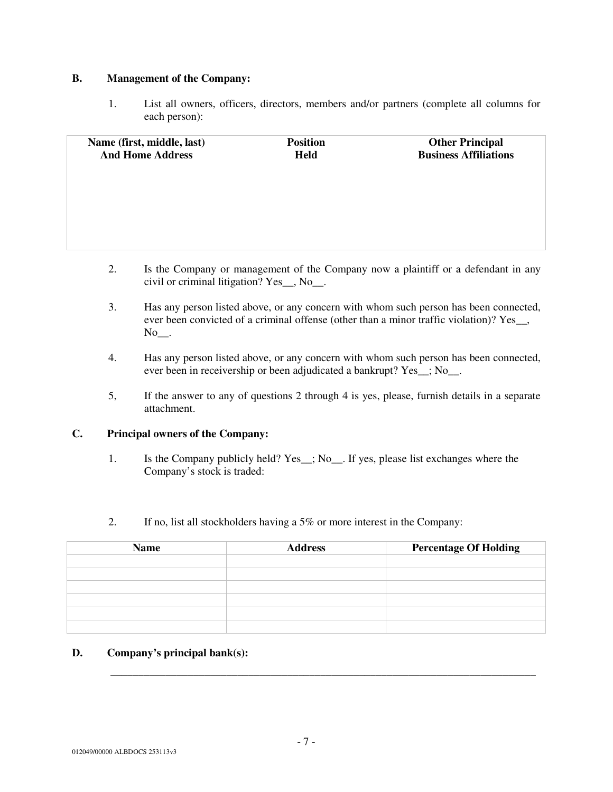## **B. Management of the Company:**

1. List all owners, officers, directors, members and/or partners (complete all columns for each person):

| Name (first, middle, last)<br><b>And Home Address</b> | <b>Position</b><br><b>Held</b> | <b>Other Principal</b><br><b>Business Affiliations</b> |
|-------------------------------------------------------|--------------------------------|--------------------------------------------------------|
|                                                       |                                |                                                        |
|                                                       |                                |                                                        |
|                                                       |                                |                                                        |

- 2. Is the Company or management of the Company now a plaintiff or a defendant in any civil or criminal litigation? Yes\_\_, No\_\_.
- 3. Has any person listed above, or any concern with whom such person has been connected, ever been convicted of a criminal offense (other than a minor traffic violation)? Yes\_\_, No\_\_.
- 4. Has any person listed above, or any concern with whom such person has been connected, ever been in receivership or been adjudicated a bankrupt? Yes\_\_; No\_\_.
- 5, If the answer to any of questions 2 through 4 is yes, please, furnish details in a separate attachment.

### **C. Principal owners of the Company:**

- 1. Is the Company publicly held? Yes\_\_; No\_\_. If yes, please list exchanges where the Company's stock is traded:
- 2. If no, list all stockholders having a 5% or more interest in the Company:

| <b>Name</b> | <b>Address</b> | <b>Percentage Of Holding</b> |
|-------------|----------------|------------------------------|
|             |                |                              |
|             |                |                              |
|             |                |                              |
|             |                |                              |
|             |                |                              |
|             |                |                              |

### **D. Company's principal bank(s):**

\_\_\_\_\_\_\_\_\_\_\_\_\_\_\_\_\_\_\_\_\_\_\_\_\_\_\_\_\_\_\_\_\_\_\_\_\_\_\_\_\_\_\_\_\_\_\_\_\_\_\_\_\_\_\_\_\_\_\_\_\_\_\_\_\_\_\_\_\_\_\_\_\_\_\_\_\_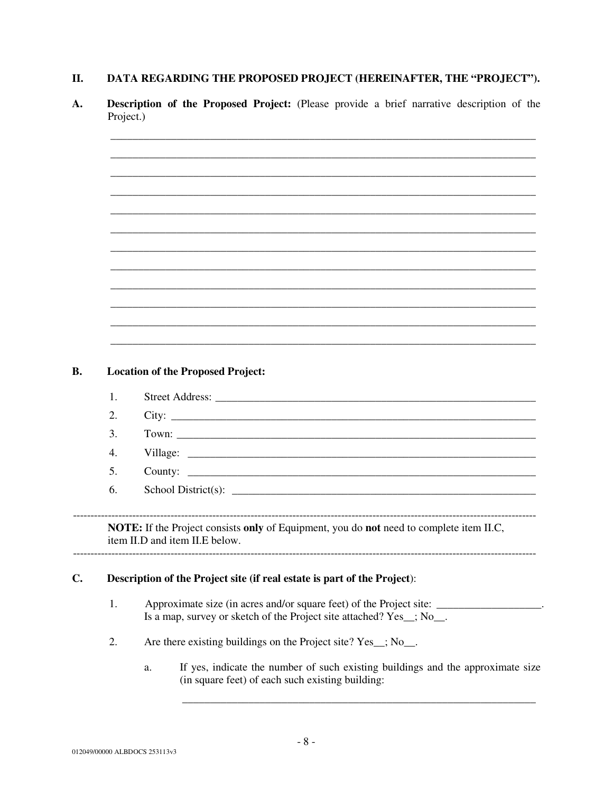#### DATA REGARDING THE PROPOSED PROJECT (HEREINAFTER, THE "PROJECT"). II.

Description of the Proposed Project: (Please provide a brief narrative description of the **A.** Project.)

| <b>Location of the Proposed Project:</b><br>City:                                       |  |  |  |  |
|-----------------------------------------------------------------------------------------|--|--|--|--|
|                                                                                         |  |  |  |  |
|                                                                                         |  |  |  |  |
|                                                                                         |  |  |  |  |
|                                                                                         |  |  |  |  |
|                                                                                         |  |  |  |  |
|                                                                                         |  |  |  |  |
|                                                                                         |  |  |  |  |
|                                                                                         |  |  |  |  |
|                                                                                         |  |  |  |  |
|                                                                                         |  |  |  |  |
|                                                                                         |  |  |  |  |
|                                                                                         |  |  |  |  |
|                                                                                         |  |  |  |  |
|                                                                                         |  |  |  |  |
|                                                                                         |  |  |  |  |
|                                                                                         |  |  |  |  |
|                                                                                         |  |  |  |  |
|                                                                                         |  |  |  |  |
|                                                                                         |  |  |  |  |
|                                                                                         |  |  |  |  |
| NOTE: If the Project consists only of Equipment, you do not need to complete item II.C, |  |  |  |  |
| item II.D and item II.E below.                                                          |  |  |  |  |
|                                                                                         |  |  |  |  |
| Description of the Project site (if real estate is part of the Project):                |  |  |  |  |
| Is a map, survey or sketch of the Project site attached? Yes_; No_.                     |  |  |  |  |
| Are there existing buildings on the Project site? Yes_; No_.                            |  |  |  |  |
| If yes, indicate the number of such existing buildings and the approximate size<br>a.   |  |  |  |  |
|                                                                                         |  |  |  |  |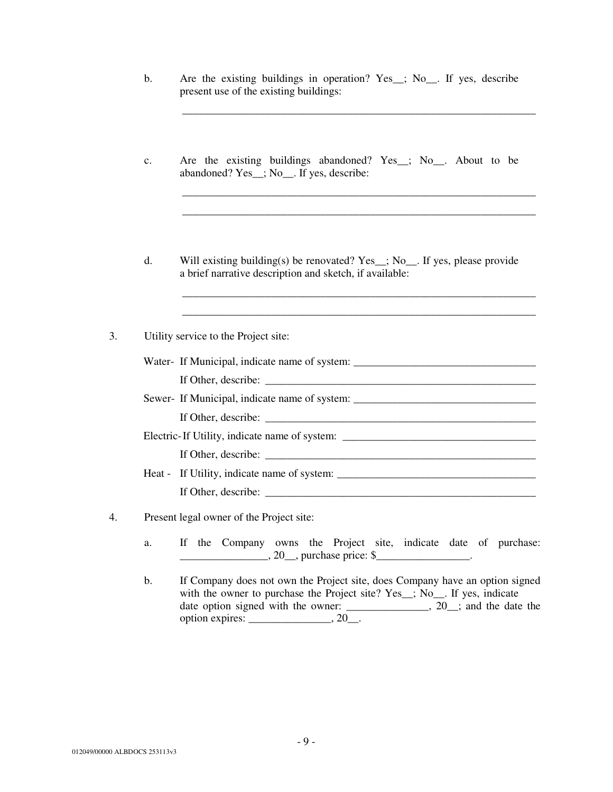b. Are the existing buildings in operation? Yes\_; No\_. If yes, describe present use of the existing buildings:

\_\_\_\_\_\_\_\_\_\_\_\_\_\_\_\_\_\_\_\_\_\_\_\_\_\_\_\_\_\_\_\_\_\_\_\_\_\_\_\_\_\_\_\_\_\_\_\_\_\_\_\_\_\_\_\_\_\_\_\_\_\_\_\_

\_\_\_\_\_\_\_\_\_\_\_\_\_\_\_\_\_\_\_\_\_\_\_\_\_\_\_\_\_\_\_\_\_\_\_\_\_\_\_\_\_\_\_\_\_\_\_\_\_\_\_\_\_\_\_\_\_\_\_\_\_\_\_\_ \_\_\_\_\_\_\_\_\_\_\_\_\_\_\_\_\_\_\_\_\_\_\_\_\_\_\_\_\_\_\_\_\_\_\_\_\_\_\_\_\_\_\_\_\_\_\_\_\_\_\_\_\_\_\_\_\_\_\_\_\_\_\_\_

\_\_\_\_\_\_\_\_\_\_\_\_\_\_\_\_\_\_\_\_\_\_\_\_\_\_\_\_\_\_\_\_\_\_\_\_\_\_\_\_\_\_\_\_\_\_\_\_\_\_\_\_\_\_\_\_\_\_\_\_\_\_\_\_ \_\_\_\_\_\_\_\_\_\_\_\_\_\_\_\_\_\_\_\_\_\_\_\_\_\_\_\_\_\_\_\_\_\_\_\_\_\_\_\_\_\_\_\_\_\_\_\_\_\_\_\_\_\_\_\_\_\_\_\_\_\_\_\_

- c. Are the existing buildings abandoned? Yes\_\_; No\_\_. About to be abandoned? Yes\_\_; No\_\_. If yes, describe:
- d. Will existing building(s) be renovated? Yes\_\_; No\_\_. If yes, please provide a brief narrative description and sketch, if available:

3. Utility service to the Project site:

|    | Water- If Municipal, indicate name of system: __________________________________                                                                                                                                                                                                                                                                                                                   |
|----|----------------------------------------------------------------------------------------------------------------------------------------------------------------------------------------------------------------------------------------------------------------------------------------------------------------------------------------------------------------------------------------------------|
|    |                                                                                                                                                                                                                                                                                                                                                                                                    |
|    | Sewer- If Municipal, indicate name of system: __________________________________                                                                                                                                                                                                                                                                                                                   |
|    |                                                                                                                                                                                                                                                                                                                                                                                                    |
|    | Electric-If Utility, indicate name of system: __________________________________                                                                                                                                                                                                                                                                                                                   |
|    | If Other, describe: $\frac{1}{\sqrt{1-\frac{1}{2}}\sqrt{1-\frac{1}{2}}\sqrt{1-\frac{1}{2}}\sqrt{1-\frac{1}{2}}\sqrt{1-\frac{1}{2}}\sqrt{1-\frac{1}{2}}\sqrt{1-\frac{1}{2}}\sqrt{1-\frac{1}{2}}\sqrt{1-\frac{1}{2}}\sqrt{1-\frac{1}{2}}\sqrt{1-\frac{1}{2}}\sqrt{1-\frac{1}{2}}\sqrt{1-\frac{1}{2}}\sqrt{1-\frac{1}{2}}\sqrt{1-\frac{1}{2}}\sqrt{1-\frac{1}{2}}\sqrt{1-\frac{1}{2}}\sqrt{1-\frac{1$ |
|    |                                                                                                                                                                                                                                                                                                                                                                                                    |
|    | If Other, describe: $\sqrt{\frac{2}{1-\frac{1}{2}} \left[\frac{1}{2}\right]^{2}}$                                                                                                                                                                                                                                                                                                                  |
| 4. | Present legal owner of the Project site:                                                                                                                                                                                                                                                                                                                                                           |

- a. If the Company owns the Project site, indicate date of purchase:
	- b. If Company does not own the Project site, does Company have an option signed with the owner to purchase the Project site? Yes\_; No\_. If yes, indicate date option signed with the owner: \_\_\_\_\_\_\_\_\_\_\_\_, 20\_; and the date the option expires: \_\_\_\_\_\_\_\_\_\_\_\_\_\_\_, 20\_\_.

\_\_\_\_\_\_\_\_\_\_\_\_\_\_\_\_\_\_\_\_\_, 20\_\_, purchase price: \$\_\_\_\_\_\_\_\_\_\_\_\_\_\_\_\_\_\_\_.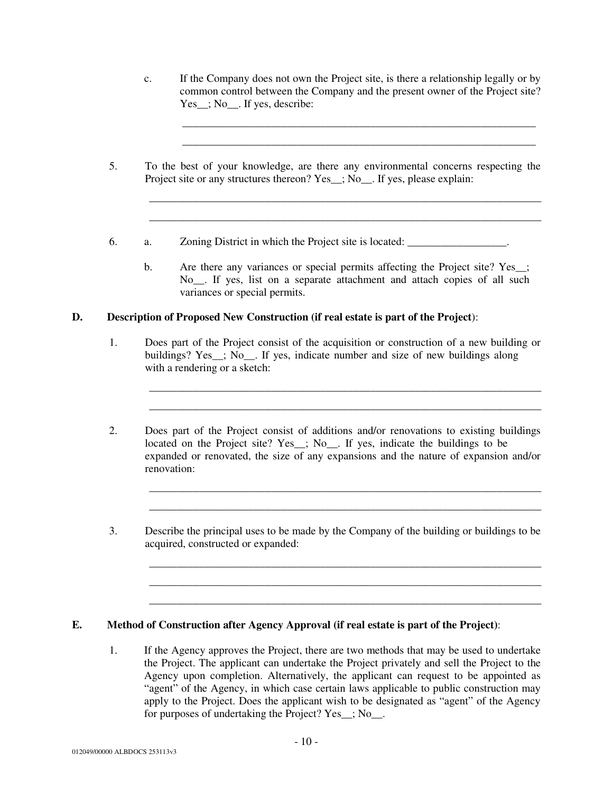c. If the Company does not own the Project site, is there a relationship legally or by common control between the Company and the present owner of the Project site? Yes\_; No\_\_. If yes, describe:

\_\_\_\_\_\_\_\_\_\_\_\_\_\_\_\_\_\_\_\_\_\_\_\_\_\_\_\_\_\_\_\_\_\_\_\_\_\_\_\_\_\_\_\_\_\_\_\_\_\_\_\_\_\_\_\_\_\_\_\_\_\_\_\_\_\_\_\_\_\_\_ \_\_\_\_\_\_\_\_\_\_\_\_\_\_\_\_\_\_\_\_\_\_\_\_\_\_\_\_\_\_\_\_\_\_\_\_\_\_\_\_\_\_\_\_\_\_\_\_\_\_\_\_\_\_\_\_\_\_\_\_\_\_\_\_\_\_\_\_\_\_\_

\_\_\_\_\_\_\_\_\_\_\_\_\_\_\_\_\_\_\_\_\_\_\_\_\_\_\_\_\_\_\_\_\_\_\_\_\_\_\_\_\_\_\_\_\_\_\_\_\_\_\_\_\_\_\_\_\_\_\_\_\_\_\_\_

- 5. To the best of your knowledge, are there any environmental concerns respecting the Project site or any structures thereon? Yes  $\therefore$  No. If yes, please explain:
- 6. a. Zoning District in which the Project site is located: \_\_\_\_\_\_\_\_\_\_\_\_\_\_\_\_\_\_.
	- b. Are there any variances or special permits affecting the Project site? Yes\_; No. If yes, list on a separate attachment and attach copies of all such variances or special permits.

#### **D. Description of Proposed New Construction (if real estate is part of the Project**):

1. Does part of the Project consist of the acquisition or construction of a new building or buildings? Yes\_; No\_. If yes, indicate number and size of new buildings along with a rendering or a sketch:

\_\_\_\_\_\_\_\_\_\_\_\_\_\_\_\_\_\_\_\_\_\_\_\_\_\_\_\_\_\_\_\_\_\_\_\_\_\_\_\_\_\_\_\_\_\_\_\_\_\_\_\_\_\_\_\_\_\_\_\_\_\_\_\_\_\_\_\_\_\_\_ \_\_\_\_\_\_\_\_\_\_\_\_\_\_\_\_\_\_\_\_\_\_\_\_\_\_\_\_\_\_\_\_\_\_\_\_\_\_\_\_\_\_\_\_\_\_\_\_\_\_\_\_\_\_\_\_\_\_\_\_\_\_\_\_\_\_\_\_\_\_\_

\_\_\_\_\_\_\_\_\_\_\_\_\_\_\_\_\_\_\_\_\_\_\_\_\_\_\_\_\_\_\_\_\_\_\_\_\_\_\_\_\_\_\_\_\_\_\_\_\_\_\_\_\_\_\_\_\_\_\_\_\_\_\_\_\_\_\_\_\_\_\_ \_\_\_\_\_\_\_\_\_\_\_\_\_\_\_\_\_\_\_\_\_\_\_\_\_\_\_\_\_\_\_\_\_\_\_\_\_\_\_\_\_\_\_\_\_\_\_\_\_\_\_\_\_\_\_\_\_\_\_\_\_\_\_\_\_\_\_\_\_\_\_

\_\_\_\_\_\_\_\_\_\_\_\_\_\_\_\_\_\_\_\_\_\_\_\_\_\_\_\_\_\_\_\_\_\_\_\_\_\_\_\_\_\_\_\_\_\_\_\_\_\_\_\_\_\_\_\_\_\_\_\_\_\_\_\_\_\_\_\_\_\_\_ \_\_\_\_\_\_\_\_\_\_\_\_\_\_\_\_\_\_\_\_\_\_\_\_\_\_\_\_\_\_\_\_\_\_\_\_\_\_\_\_\_\_\_\_\_\_\_\_\_\_\_\_\_\_\_\_\_\_\_\_\_\_\_\_\_\_\_\_\_\_\_ \_\_\_\_\_\_\_\_\_\_\_\_\_\_\_\_\_\_\_\_\_\_\_\_\_\_\_\_\_\_\_\_\_\_\_\_\_\_\_\_\_\_\_\_\_\_\_\_\_\_\_\_\_\_\_\_\_\_\_\_\_\_\_\_\_\_\_\_\_\_\_

- 2. Does part of the Project consist of additions and/or renovations to existing buildings located on the Project site? Yes\_; No\_. If yes, indicate the buildings to be expanded or renovated, the size of any expansions and the nature of expansion and/or renovation:
- 3. Describe the principal uses to be made by the Company of the building or buildings to be acquired, constructed or expanded:

#### **E. Method of Construction after Agency Approval (if real estate is part of the Project)**:

1. If the Agency approves the Project, there are two methods that may be used to undertake the Project. The applicant can undertake the Project privately and sell the Project to the Agency upon completion. Alternatively, the applicant can request to be appointed as "agent" of the Agency, in which case certain laws applicable to public construction may apply to the Project. Does the applicant wish to be designated as "agent" of the Agency for purposes of undertaking the Project? Yes\_\_; No\_\_.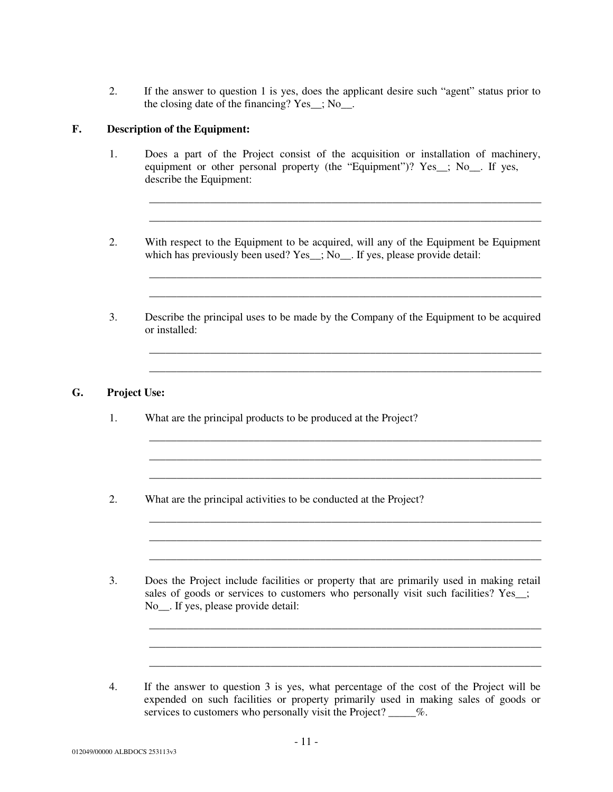2. If the answer to question 1 is yes, does the applicant desire such "agent" status prior to the closing date of the financing? Yes\_\_; No\_\_.

## **F. Description of the Equipment:**

1. Does a part of the Project consist of the acquisition or installation of machinery, equipment or other personal property (the "Equipment")? Yes ; No. If yes, describe the Equipment:

\_\_\_\_\_\_\_\_\_\_\_\_\_\_\_\_\_\_\_\_\_\_\_\_\_\_\_\_\_\_\_\_\_\_\_\_\_\_\_\_\_\_\_\_\_\_\_\_\_\_\_\_\_\_\_\_\_\_\_\_\_\_\_\_\_\_\_\_\_\_\_ \_\_\_\_\_\_\_\_\_\_\_\_\_\_\_\_\_\_\_\_\_\_\_\_\_\_\_\_\_\_\_\_\_\_\_\_\_\_\_\_\_\_\_\_\_\_\_\_\_\_\_\_\_\_\_\_\_\_\_\_\_\_\_\_\_\_\_\_\_\_\_

\_\_\_\_\_\_\_\_\_\_\_\_\_\_\_\_\_\_\_\_\_\_\_\_\_\_\_\_\_\_\_\_\_\_\_\_\_\_\_\_\_\_\_\_\_\_\_\_\_\_\_\_\_\_\_\_\_\_\_\_\_\_\_\_\_\_\_\_\_\_\_ \_\_\_\_\_\_\_\_\_\_\_\_\_\_\_\_\_\_\_\_\_\_\_\_\_\_\_\_\_\_\_\_\_\_\_\_\_\_\_\_\_\_\_\_\_\_\_\_\_\_\_\_\_\_\_\_\_\_\_\_\_\_\_\_\_\_\_\_\_\_\_

\_\_\_\_\_\_\_\_\_\_\_\_\_\_\_\_\_\_\_\_\_\_\_\_\_\_\_\_\_\_\_\_\_\_\_\_\_\_\_\_\_\_\_\_\_\_\_\_\_\_\_\_\_\_\_\_\_\_\_\_\_\_\_\_\_\_\_\_\_\_\_

\_\_\_\_\_\_\_\_\_\_\_\_\_\_\_\_\_\_\_\_\_\_\_\_\_\_\_\_\_\_\_\_\_\_\_\_\_\_\_\_\_\_\_\_\_\_\_\_\_\_\_\_\_\_\_\_\_\_\_\_\_\_\_\_\_\_\_\_\_\_\_

\_\_\_\_\_\_\_\_\_\_\_\_\_\_\_\_\_\_\_\_\_\_\_\_\_\_\_\_\_\_\_\_\_\_\_\_\_\_\_\_\_\_\_\_\_\_\_\_\_\_\_\_\_\_\_\_\_\_\_\_\_\_\_\_\_\_\_\_\_\_\_

\_\_\_\_\_\_\_\_\_\_\_\_\_\_\_\_\_\_\_\_\_\_\_\_\_\_\_\_\_\_\_\_\_\_\_\_\_\_\_\_\_\_\_\_\_\_\_\_\_\_\_\_\_\_\_\_\_\_\_\_\_\_\_\_\_\_\_\_\_\_\_ \_\_\_\_\_\_\_\_\_\_\_\_\_\_\_\_\_\_\_\_\_\_\_\_\_\_\_\_\_\_\_\_\_\_\_\_\_\_\_\_\_\_\_\_\_\_\_\_\_\_\_\_\_\_\_\_\_\_\_\_\_\_\_\_\_\_\_\_\_\_\_ \_\_\_\_\_\_\_\_\_\_\_\_\_\_\_\_\_\_\_\_\_\_\_\_\_\_\_\_\_\_\_\_\_\_\_\_\_\_\_\_\_\_\_\_\_\_\_\_\_\_\_\_\_\_\_\_\_\_\_\_\_\_\_\_\_\_\_\_\_\_\_

\_\_\_\_\_\_\_\_\_\_\_\_\_\_\_\_\_\_\_\_\_\_\_\_\_\_\_\_\_\_\_\_\_\_\_\_\_\_\_\_\_\_\_\_\_\_\_\_\_\_\_\_\_\_\_\_\_\_\_\_\_\_\_\_\_\_\_\_\_\_\_ \_\_\_\_\_\_\_\_\_\_\_\_\_\_\_\_\_\_\_\_\_\_\_\_\_\_\_\_\_\_\_\_\_\_\_\_\_\_\_\_\_\_\_\_\_\_\_\_\_\_\_\_\_\_\_\_\_\_\_\_\_\_\_\_\_\_\_\_\_\_\_

\_\_\_\_\_\_\_\_\_\_\_\_\_\_\_\_\_\_\_\_\_\_\_\_\_\_\_\_\_\_\_\_\_\_\_\_\_\_\_\_\_\_\_\_\_\_\_\_\_\_\_\_\_\_\_\_\_\_\_\_\_\_\_\_\_\_\_\_\_\_\_

\_\_\_\_\_\_\_\_\_\_\_\_\_\_\_\_\_\_\_\_\_\_\_\_\_\_\_\_\_\_\_\_\_\_\_\_\_\_\_\_\_\_\_\_\_\_\_\_\_\_\_\_\_\_\_\_\_\_\_\_\_\_\_\_\_\_\_\_\_\_\_

- 2. With respect to the Equipment to be acquired, will any of the Equipment be Equipment which has previously been used? Yes\_; No\_\_. If yes, please provide detail:
- 3. Describe the principal uses to be made by the Company of the Equipment to be acquired or installed:

### **G. Project Use:**

- 1. What are the principal products to be produced at the Project?
- 2. What are the principal activities to be conducted at the Project?
- 3. Does the Project include facilities or property that are primarily used in making retail sales of goods or services to customers who personally visit such facilities? Yes\_; No\_\_. If yes, please provide detail:
- 4. If the answer to question 3 is yes, what percentage of the cost of the Project will be expended on such facilities or property primarily used in making sales of goods or services to customers who personally visit the Project? \_\_\_\_\_%.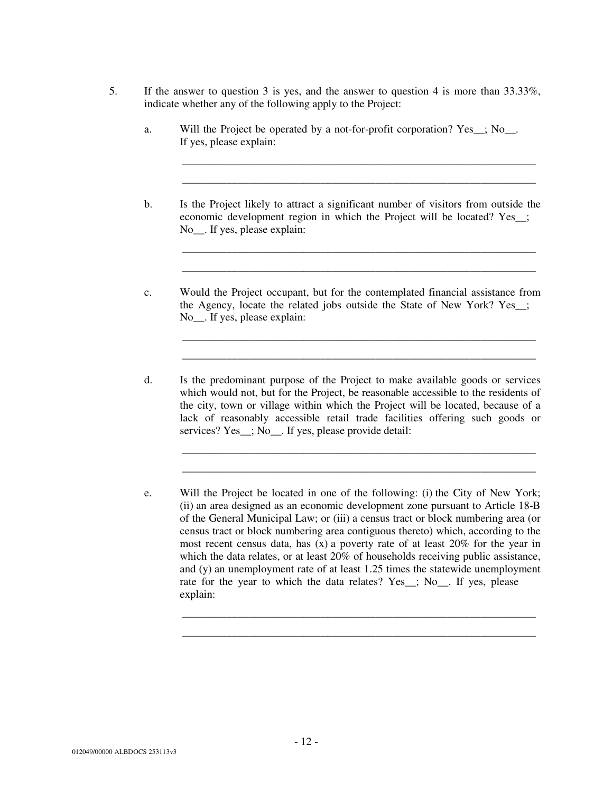- 5. If the answer to question 3 is yes, and the answer to question 4 is more than 33.33%, indicate whether any of the following apply to the Project:
	- a. Will the Project be operated by a not-for-profit corporation? Yes  $\therefore$  No. If yes, please explain:
	- b. Is the Project likely to attract a significant number of visitors from outside the economic development region in which the Project will be located? Yes\_\_; No<sub>\_\_\_</sub>. If yes, please explain:

\_\_\_\_\_\_\_\_\_\_\_\_\_\_\_\_\_\_\_\_\_\_\_\_\_\_\_\_\_\_\_\_\_\_\_\_\_\_\_\_\_\_\_\_\_\_\_\_\_\_\_\_\_\_\_\_\_\_\_\_\_\_\_\_ \_\_\_\_\_\_\_\_\_\_\_\_\_\_\_\_\_\_\_\_\_\_\_\_\_\_\_\_\_\_\_\_\_\_\_\_\_\_\_\_\_\_\_\_\_\_\_\_\_\_\_\_\_\_\_\_\_\_\_\_\_\_\_\_

\_\_\_\_\_\_\_\_\_\_\_\_\_\_\_\_\_\_\_\_\_\_\_\_\_\_\_\_\_\_\_\_\_\_\_\_\_\_\_\_\_\_\_\_\_\_\_\_\_\_\_\_\_\_\_\_\_\_\_\_\_\_\_\_ \_\_\_\_\_\_\_\_\_\_\_\_\_\_\_\_\_\_\_\_\_\_\_\_\_\_\_\_\_\_\_\_\_\_\_\_\_\_\_\_\_\_\_\_\_\_\_\_\_\_\_\_\_\_\_\_\_\_\_\_\_\_\_\_

\_\_\_\_\_\_\_\_\_\_\_\_\_\_\_\_\_\_\_\_\_\_\_\_\_\_\_\_\_\_\_\_\_\_\_\_\_\_\_\_\_\_\_\_\_\_\_\_\_\_\_\_\_\_\_\_\_\_\_\_\_\_\_\_ \_\_\_\_\_\_\_\_\_\_\_\_\_\_\_\_\_\_\_\_\_\_\_\_\_\_\_\_\_\_\_\_\_\_\_\_\_\_\_\_\_\_\_\_\_\_\_\_\_\_\_\_\_\_\_\_\_\_\_\_\_\_\_\_

\_\_\_\_\_\_\_\_\_\_\_\_\_\_\_\_\_\_\_\_\_\_\_\_\_\_\_\_\_\_\_\_\_\_\_\_\_\_\_\_\_\_\_\_\_\_\_\_\_\_\_\_\_\_\_\_\_\_\_\_\_\_\_\_ \_\_\_\_\_\_\_\_\_\_\_\_\_\_\_\_\_\_\_\_\_\_\_\_\_\_\_\_\_\_\_\_\_\_\_\_\_\_\_\_\_\_\_\_\_\_\_\_\_\_\_\_\_\_\_\_\_\_\_\_\_\_\_\_

\_\_\_\_\_\_\_\_\_\_\_\_\_\_\_\_\_\_\_\_\_\_\_\_\_\_\_\_\_\_\_\_\_\_\_\_\_\_\_\_\_\_\_\_\_\_\_\_\_\_\_\_\_\_\_\_\_\_\_\_\_\_\_\_ \_\_\_\_\_\_\_\_\_\_\_\_\_\_\_\_\_\_\_\_\_\_\_\_\_\_\_\_\_\_\_\_\_\_\_\_\_\_\_\_\_\_\_\_\_\_\_\_\_\_\_\_\_\_\_\_\_\_\_\_\_\_\_\_

- c. Would the Project occupant, but for the contemplated financial assistance from the Agency, locate the related jobs outside the State of New York? Yes\_\_; No\_\_. If yes, please explain:
- d. Is the predominant purpose of the Project to make available goods or services which would not, but for the Project, be reasonable accessible to the residents of the city, town or village within which the Project will be located, because of a lack of reasonably accessible retail trade facilities offering such goods or services? Yes ; No. If yes, please provide detail:
- e. Will the Project be located in one of the following: (i) the City of New York; (ii) an area designed as an economic development zone pursuant to Article 18-B of the General Municipal Law; or (iii) a census tract or block numbering area (or census tract or block numbering area contiguous thereto) which, according to the most recent census data, has (x) a poverty rate of at least 20% for the year in which the data relates, or at least 20% of households receiving public assistance, and (y) an unemployment rate of at least 1.25 times the statewide unemployment rate for the year to which the data relates? Yes\_; No\_. If yes, please explain: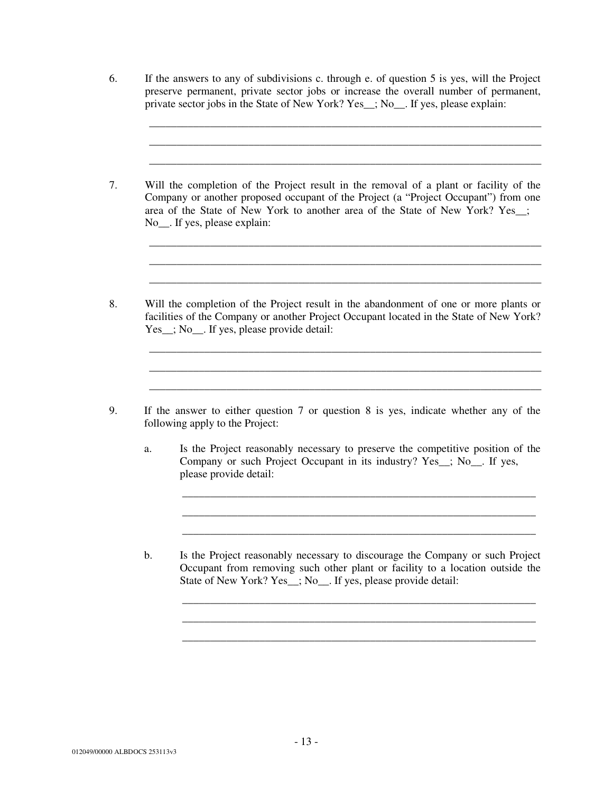6. If the answers to any of subdivisions c. through e. of question 5 is yes, will the Project preserve permanent, private sector jobs or increase the overall number of permanent, private sector jobs in the State of New York? Yes\_\_; No\_\_. If yes, please explain:

\_\_\_\_\_\_\_\_\_\_\_\_\_\_\_\_\_\_\_\_\_\_\_\_\_\_\_\_\_\_\_\_\_\_\_\_\_\_\_\_\_\_\_\_\_\_\_\_\_\_\_\_\_\_\_\_\_\_\_\_\_\_\_\_\_\_\_\_\_\_\_ \_\_\_\_\_\_\_\_\_\_\_\_\_\_\_\_\_\_\_\_\_\_\_\_\_\_\_\_\_\_\_\_\_\_\_\_\_\_\_\_\_\_\_\_\_\_\_\_\_\_\_\_\_\_\_\_\_\_\_\_\_\_\_\_\_\_\_\_\_\_\_ \_\_\_\_\_\_\_\_\_\_\_\_\_\_\_\_\_\_\_\_\_\_\_\_\_\_\_\_\_\_\_\_\_\_\_\_\_\_\_\_\_\_\_\_\_\_\_\_\_\_\_\_\_\_\_\_\_\_\_\_\_\_\_\_\_\_\_\_\_\_\_

\_\_\_\_\_\_\_\_\_\_\_\_\_\_\_\_\_\_\_\_\_\_\_\_\_\_\_\_\_\_\_\_\_\_\_\_\_\_\_\_\_\_\_\_\_\_\_\_\_\_\_\_\_\_\_\_\_\_\_\_\_\_\_\_\_\_\_\_\_\_\_ \_\_\_\_\_\_\_\_\_\_\_\_\_\_\_\_\_\_\_\_\_\_\_\_\_\_\_\_\_\_\_\_\_\_\_\_\_\_\_\_\_\_\_\_\_\_\_\_\_\_\_\_\_\_\_\_\_\_\_\_\_\_\_\_\_\_\_\_\_\_\_ \_\_\_\_\_\_\_\_\_\_\_\_\_\_\_\_\_\_\_\_\_\_\_\_\_\_\_\_\_\_\_\_\_\_\_\_\_\_\_\_\_\_\_\_\_\_\_\_\_\_\_\_\_\_\_\_\_\_\_\_\_\_\_\_\_\_\_\_\_\_\_

\_\_\_\_\_\_\_\_\_\_\_\_\_\_\_\_\_\_\_\_\_\_\_\_\_\_\_\_\_\_\_\_\_\_\_\_\_\_\_\_\_\_\_\_\_\_\_\_\_\_\_\_\_\_\_\_\_\_\_\_\_\_\_\_\_\_\_\_\_\_\_

\_\_\_\_\_\_\_\_\_\_\_\_\_\_\_\_\_\_\_\_\_\_\_\_\_\_\_\_\_\_\_\_\_\_\_\_\_\_\_\_\_\_\_\_\_\_\_\_\_\_\_\_\_\_\_\_\_\_\_\_\_\_\_\_\_\_\_\_\_\_\_

\_\_\_\_\_\_\_\_\_\_\_\_\_\_\_\_\_\_\_\_\_\_\_\_\_\_\_\_\_\_\_\_\_\_\_\_\_\_\_\_\_\_\_\_\_\_\_\_\_\_\_\_\_\_\_\_\_\_\_\_\_\_\_\_\_\_\_\_\_\_\_

- 7. Will the completion of the Project result in the removal of a plant or facility of the Company or another proposed occupant of the Project (a "Project Occupant") from one area of the State of New York to another area of the State of New York? Yes\_\_; No\_\_. If yes, please explain:
- 8. Will the completion of the Project result in the abandonment of one or more plants or facilities of the Company or another Project Occupant located in the State of New York? Yes\_; No\_. If yes, please provide detail:
- 9. If the answer to either question 7 or question 8 is yes, indicate whether any of the following apply to the Project:
	- a. Is the Project reasonably necessary to preserve the competitive position of the Company or such Project Occupant in its industry? Yes\_\_; No\_\_. If yes, please provide detail:

\_\_\_\_\_\_\_\_\_\_\_\_\_\_\_\_\_\_\_\_\_\_\_\_\_\_\_\_\_\_\_\_\_\_\_\_\_\_\_\_\_\_\_\_\_\_\_\_\_\_\_\_\_\_\_\_\_\_\_\_\_\_\_\_ \_\_\_\_\_\_\_\_\_\_\_\_\_\_\_\_\_\_\_\_\_\_\_\_\_\_\_\_\_\_\_\_\_\_\_\_\_\_\_\_\_\_\_\_\_\_\_\_\_\_\_\_\_\_\_\_\_\_\_\_\_\_\_\_ \_\_\_\_\_\_\_\_\_\_\_\_\_\_\_\_\_\_\_\_\_\_\_\_\_\_\_\_\_\_\_\_\_\_\_\_\_\_\_\_\_\_\_\_\_\_\_\_\_\_\_\_\_\_\_\_\_\_\_\_\_\_\_\_

\_\_\_\_\_\_\_\_\_\_\_\_\_\_\_\_\_\_\_\_\_\_\_\_\_\_\_\_\_\_\_\_\_\_\_\_\_\_\_\_\_\_\_\_\_\_\_\_\_\_\_\_\_\_\_\_\_\_\_\_\_\_\_\_ \_\_\_\_\_\_\_\_\_\_\_\_\_\_\_\_\_\_\_\_\_\_\_\_\_\_\_\_\_\_\_\_\_\_\_\_\_\_\_\_\_\_\_\_\_\_\_\_\_\_\_\_\_\_\_\_\_\_\_\_\_\_\_\_

b. Is the Project reasonably necessary to discourage the Company or such Project Occupant from removing such other plant or facility to a location outside the State of New York? Yes\_\_; No\_\_. If yes, please provide detail: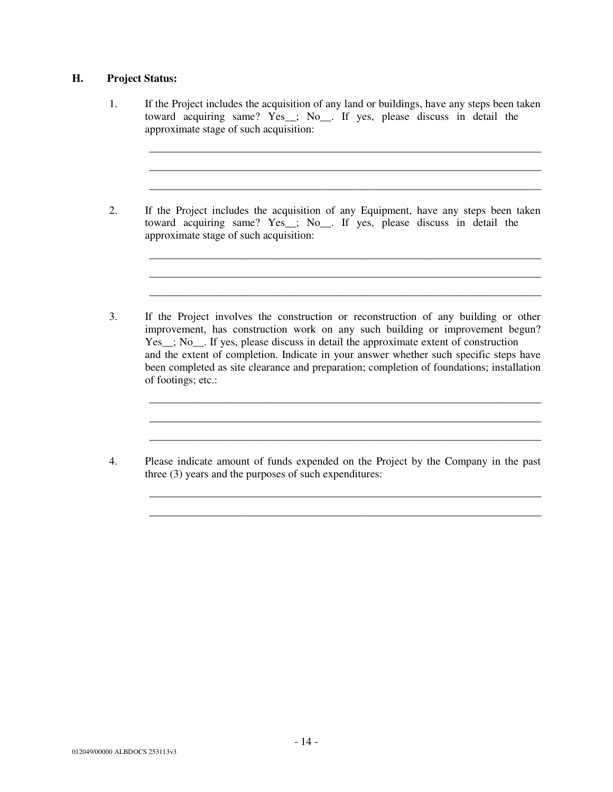## **H. Project Status:**

1. If the Project includes the acquisition of any land or buildings, have any steps been taken toward acquiring same? Yes\_\_; No\_\_. If yes, please discuss in detail the approximate stage of such acquisition:

\_\_\_\_\_\_\_\_\_\_\_\_\_\_\_\_\_\_\_\_\_\_\_\_\_\_\_\_\_\_\_\_\_\_\_\_\_\_\_\_\_\_\_\_\_\_\_\_\_\_\_\_\_\_\_\_\_\_\_\_\_\_\_\_\_\_\_\_\_\_\_ \_\_\_\_\_\_\_\_\_\_\_\_\_\_\_\_\_\_\_\_\_\_\_\_\_\_\_\_\_\_\_\_\_\_\_\_\_\_\_\_\_\_\_\_\_\_\_\_\_\_\_\_\_\_\_\_\_\_\_\_\_\_\_\_\_\_\_\_\_\_\_ \_\_\_\_\_\_\_\_\_\_\_\_\_\_\_\_\_\_\_\_\_\_\_\_\_\_\_\_\_\_\_\_\_\_\_\_\_\_\_\_\_\_\_\_\_\_\_\_\_\_\_\_\_\_\_\_\_\_\_\_\_\_\_\_\_\_\_\_\_\_\_

\_\_\_\_\_\_\_\_\_\_\_\_\_\_\_\_\_\_\_\_\_\_\_\_\_\_\_\_\_\_\_\_\_\_\_\_\_\_\_\_\_\_\_\_\_\_\_\_\_\_\_\_\_\_\_\_\_\_\_\_\_\_\_\_\_\_\_\_\_\_\_ \_\_\_\_\_\_\_\_\_\_\_\_\_\_\_\_\_\_\_\_\_\_\_\_\_\_\_\_\_\_\_\_\_\_\_\_\_\_\_\_\_\_\_\_\_\_\_\_\_\_\_\_\_\_\_\_\_\_\_\_\_\_\_\_\_\_\_\_\_\_\_ \_\_\_\_\_\_\_\_\_\_\_\_\_\_\_\_\_\_\_\_\_\_\_\_\_\_\_\_\_\_\_\_\_\_\_\_\_\_\_\_\_\_\_\_\_\_\_\_\_\_\_\_\_\_\_\_\_\_\_\_\_\_\_\_\_\_\_\_\_\_\_

\_\_\_\_\_\_\_\_\_\_\_\_\_\_\_\_\_\_\_\_\_\_\_\_\_\_\_\_\_\_\_\_\_\_\_\_\_\_\_\_\_\_\_\_\_\_\_\_\_\_\_\_\_\_\_\_\_\_\_\_\_\_\_\_\_\_\_\_\_\_\_ \_\_\_\_\_\_\_\_\_\_\_\_\_\_\_\_\_\_\_\_\_\_\_\_\_\_\_\_\_\_\_\_\_\_\_\_\_\_\_\_\_\_\_\_\_\_\_\_\_\_\_\_\_\_\_\_\_\_\_\_\_\_\_\_\_\_\_\_\_\_\_ \_\_\_\_\_\_\_\_\_\_\_\_\_\_\_\_\_\_\_\_\_\_\_\_\_\_\_\_\_\_\_\_\_\_\_\_\_\_\_\_\_\_\_\_\_\_\_\_\_\_\_\_\_\_\_\_\_\_\_\_\_\_\_\_\_\_\_\_\_\_\_

\_\_\_\_\_\_\_\_\_\_\_\_\_\_\_\_\_\_\_\_\_\_\_\_\_\_\_\_\_\_\_\_\_\_\_\_\_\_\_\_\_\_\_\_\_\_\_\_\_\_\_\_\_\_\_\_\_\_\_\_\_\_\_\_\_\_\_\_\_\_\_ \_\_\_\_\_\_\_\_\_\_\_\_\_\_\_\_\_\_\_\_\_\_\_\_\_\_\_\_\_\_\_\_\_\_\_\_\_\_\_\_\_\_\_\_\_\_\_\_\_\_\_\_\_\_\_\_\_\_\_\_\_\_\_\_\_\_\_\_\_\_\_

- 2. If the Project includes the acquisition of any Equipment, have any steps been taken toward acquiring same? Yes\_\_; No\_\_. If yes, please discuss in detail the approximate stage of such acquisition:
- 3. If the Project involves the construction or reconstruction of any building or other improvement, has construction work on any such building or improvement begun? Yes ; No. If yes, please discuss in detail the approximate extent of construction and the extent of completion. Indicate in your answer whether such specific steps have been completed as site clearance and preparation; completion of foundations; installation of footings; etc.:
- 4. Please indicate amount of funds expended on the Project by the Company in the past three (3) years and the purposes of such expenditures: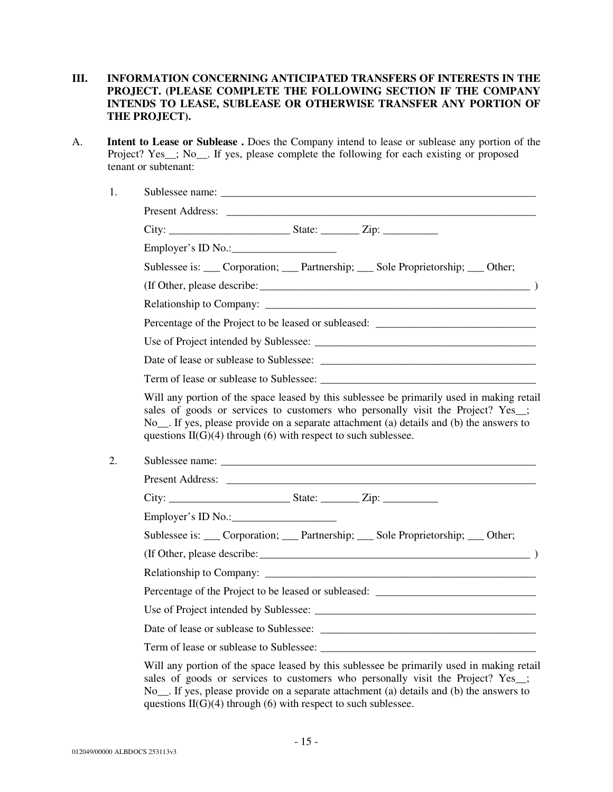## **III. INFORMATION CONCERNING ANTICIPATED TRANSFERS OF INTERESTS IN THE PROJECT. (PLEASE COMPLETE THE FOLLOWING SECTION IF THE COMPANY INTENDS TO LEASE, SUBLEASE OR OTHERWISE TRANSFER ANY PORTION OF THE PROJECT).**

A. **Intent to Lease or Sublease .** Does the Company intend to lease or sublease any portion of the Project? Yes\_; No\_\_. If yes, please complete the following for each existing or proposed tenant or subtenant:

| Employer's ID No.:                                                                                                                                                                                                                                           |  |  |
|--------------------------------------------------------------------------------------------------------------------------------------------------------------------------------------------------------------------------------------------------------------|--|--|
| Sublessee is: ___ Corporation; ___ Partnership; ___ Sole Proprietorship; ___ Other;                                                                                                                                                                          |  |  |
|                                                                                                                                                                                                                                                              |  |  |
| Relationship to Company:                                                                                                                                                                                                                                     |  |  |
| Percentage of the Project to be leased or subleased: ____________________________                                                                                                                                                                            |  |  |
|                                                                                                                                                                                                                                                              |  |  |
|                                                                                                                                                                                                                                                              |  |  |
| Term of lease or sublease to Sublessee:                                                                                                                                                                                                                      |  |  |
| sales of goods or services to customers who personally visit the Project? Yes_;<br>No <sub>__</sub> . If yes, please provide on a separate attachment (a) details and (b) the answers to<br>questions $II(G)(4)$ through (6) with respect to such sublessee. |  |  |
|                                                                                                                                                                                                                                                              |  |  |
|                                                                                                                                                                                                                                                              |  |  |
| Employer's ID No.: $\qquad \qquad$                                                                                                                                                                                                                           |  |  |
| Sublessee is: ___ Corporation; ___ Partnership; ___ Sole Proprietorship; ___ Other;                                                                                                                                                                          |  |  |
|                                                                                                                                                                                                                                                              |  |  |
|                                                                                                                                                                                                                                                              |  |  |
| Percentage of the Project to be leased or subleased: ____________________________                                                                                                                                                                            |  |  |
|                                                                                                                                                                                                                                                              |  |  |
|                                                                                                                                                                                                                                                              |  |  |
|                                                                                                                                                                                                                                                              |  |  |
| Will any portion of the space leased by this sublessee be primarily used in making retail<br>sales of goods or services to customers who personally visit the Project? Yes_;                                                                                 |  |  |

No\_\_. If yes, please provide on a separate attachment (a) details and (b) the answers to questions  $II(G)(4)$  through (6) with respect to such sublessee.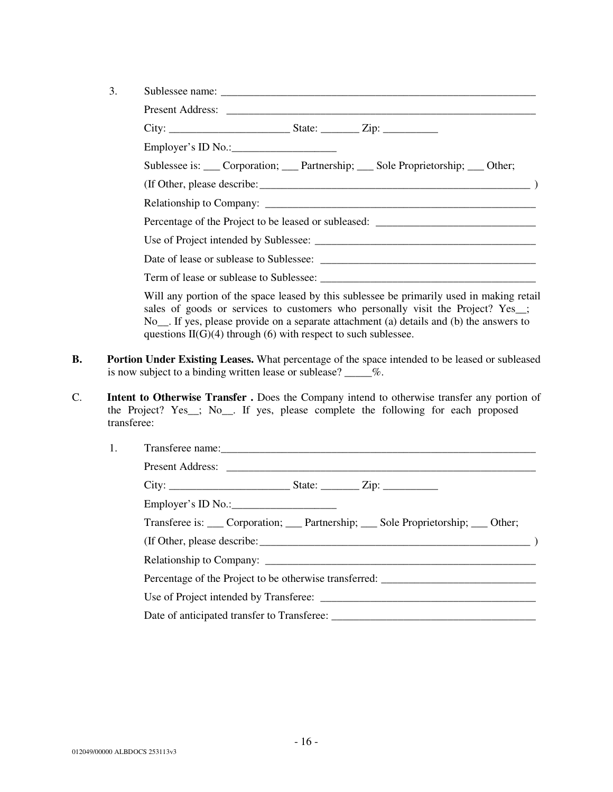| 3. |                                                                                                                                                                                                                                                                                                                             |  |  |  |
|----|-----------------------------------------------------------------------------------------------------------------------------------------------------------------------------------------------------------------------------------------------------------------------------------------------------------------------------|--|--|--|
|    |                                                                                                                                                                                                                                                                                                                             |  |  |  |
|    |                                                                                                                                                                                                                                                                                                                             |  |  |  |
|    | Employer's ID No.: $\qquad \qquad$                                                                                                                                                                                                                                                                                          |  |  |  |
|    | Sublessee is: ___ Corporation; ___ Partnership; ___ Sole Proprietorship; ___ Other;                                                                                                                                                                                                                                         |  |  |  |
|    |                                                                                                                                                                                                                                                                                                                             |  |  |  |
|    |                                                                                                                                                                                                                                                                                                                             |  |  |  |
|    | Percentage of the Project to be leased or subleased: ___________________________                                                                                                                                                                                                                                            |  |  |  |
|    |                                                                                                                                                                                                                                                                                                                             |  |  |  |
|    |                                                                                                                                                                                                                                                                                                                             |  |  |  |
|    |                                                                                                                                                                                                                                                                                                                             |  |  |  |
|    | Will any portion of the space leased by this sublessee be primarily used in making retail<br>a distribution of the contract of the contract of the contract of the contract of the contract of the contract of the contract of the contract of the contract of the contract of the contract of the contract of the contract |  |  |  |

sales of goods or services to customers who personally visit the Project? Yes\_; No\_\_. If yes, please provide on a separate attachment (a) details and (b) the answers to questions  $II(G)(4)$  through (6) with respect to such sublessee.

- **B. Portion Under Existing Leases.** What percentage of the space intended to be leased or subleased is now subject to a binding written lease or sublease? \_\_\_\_\_%.
- C. **Intent to Otherwise Transfer .** Does the Company intend to otherwise transfer any portion of the Project? Yes\_\_; No\_\_. If yes, please complete the following for each proposed transferee:

| 1. |                                                                                          |
|----|------------------------------------------------------------------------------------------|
|    |                                                                                          |
|    |                                                                                          |
|    | Employer's ID No.: $\qquad \qquad$                                                       |
|    | Transferee is: ____ Corporation; ____ Partnership; ____ Sole Proprietorship; ____ Other; |
|    |                                                                                          |
|    |                                                                                          |
|    | Percentage of the Project to be otherwise transferred: __________________________        |
|    |                                                                                          |
|    |                                                                                          |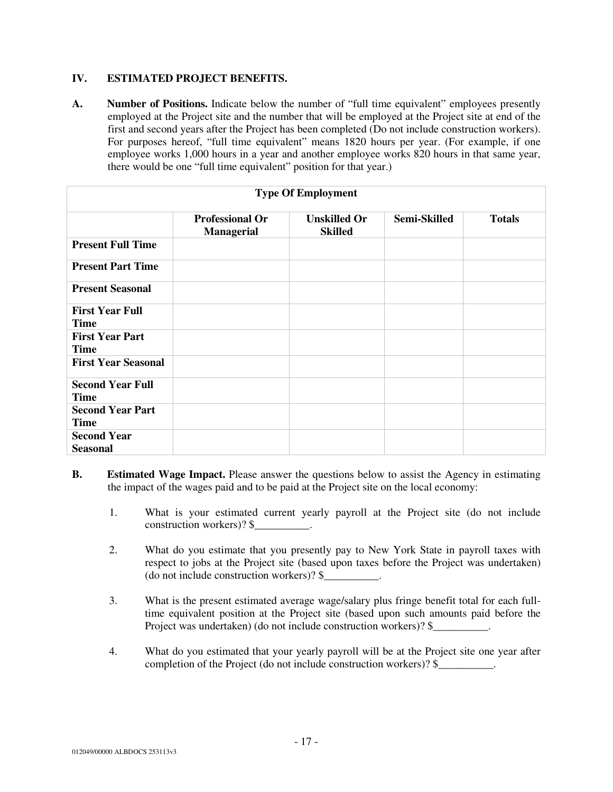## **IV. ESTIMATED PROJECT BENEFITS.**

A. Number of Positions. Indicate below the number of "full time equivalent" employees presently employed at the Project site and the number that will be employed at the Project site at end of the first and second years after the Project has been completed (Do not include construction workers). For purposes hereof, "full time equivalent" means 1820 hours per year. (For example, if one employee works 1,000 hours in a year and another employee works 820 hours in that same year, there would be one "full time equivalent" position for that year.)

| <b>Type Of Employment</b>              |                                             |                                       |              |               |
|----------------------------------------|---------------------------------------------|---------------------------------------|--------------|---------------|
|                                        | <b>Professional Or</b><br><b>Managerial</b> | <b>Unskilled Or</b><br><b>Skilled</b> | Semi-Skilled | <b>Totals</b> |
| <b>Present Full Time</b>               |                                             |                                       |              |               |
| <b>Present Part Time</b>               |                                             |                                       |              |               |
| <b>Present Seasonal</b>                |                                             |                                       |              |               |
| <b>First Year Full</b><br><b>Time</b>  |                                             |                                       |              |               |
| <b>First Year Part</b><br><b>Time</b>  |                                             |                                       |              |               |
| <b>First Year Seasonal</b>             |                                             |                                       |              |               |
| <b>Second Year Full</b><br><b>Time</b> |                                             |                                       |              |               |
| <b>Second Year Part</b><br><b>Time</b> |                                             |                                       |              |               |
| <b>Second Year</b><br><b>Seasonal</b>  |                                             |                                       |              |               |

- **B.** Estimated Wage Impact. Please answer the questions below to assist the Agency in estimating the impact of the wages paid and to be paid at the Project site on the local economy:
	- 1. What is your estimated current yearly payroll at the Project site (do not include construction workers)? \$
	- 2. What do you estimate that you presently pay to New York State in payroll taxes with respect to jobs at the Project site (based upon taxes before the Project was undertaken) (do not include construction workers)? \$\_\_\_\_\_\_\_\_\_\_.
	- 3. What is the present estimated average wage/salary plus fringe benefit total for each fulltime equivalent position at the Project site (based upon such amounts paid before the Project was undertaken) (do not include construction workers)? \$
	- 4. What do you estimated that your yearly payroll will be at the Project site one year after completion of the Project (do not include construction workers)? \$\_\_\_\_\_\_\_\_\_\_.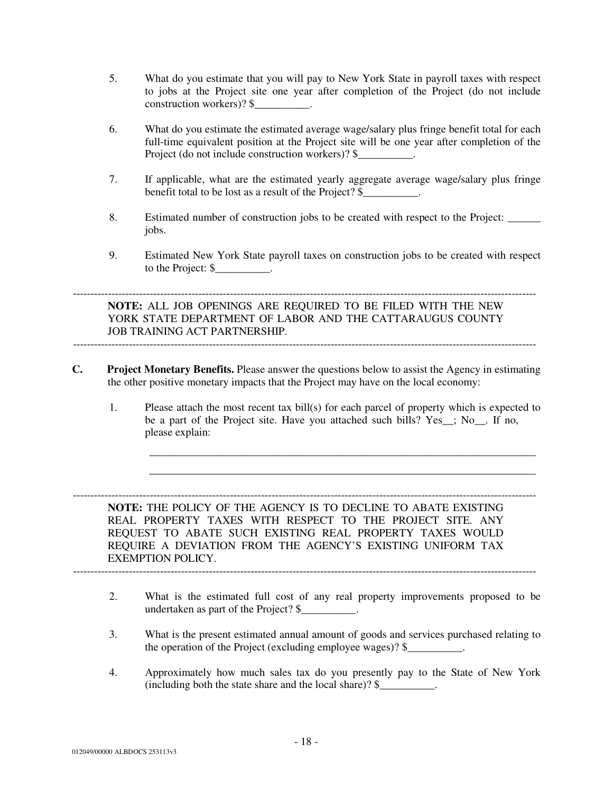- 5. What do you estimate that you will pay to New York State in payroll taxes with respect to jobs at the Project site one year after completion of the Project (do not include construction workers)? \$
- 6. What do you estimate the estimated average wage/salary plus fringe benefit total for each full-time equivalent position at the Project site will be one year after completion of the Project (do not include construction workers)? \$
- 7. If applicable, what are the estimated yearly aggregate average wage/salary plus fringe benefit total to be lost as a result of the Project? \$
- 8. Estimated number of construction jobs to be created with respect to the Project: \_\_\_\_\_\_ jobs.
- 9. Estimated New York State payroll taxes on construction jobs to be created with respect to the Project: \$\_\_\_\_\_\_\_\_\_\_.

-------------------------------------------------------------------------------------------------------------------------------------

**NOTE:** ALL JOB OPENINGS ARE REQUIRED TO BE FILED WITH THE NEW YORK STATE DEPARTMENT OF LABOR AND THE CATTARAUGUS COUNTY JOB TRAINING ACT PARTNERSHIP. -------------------------------------------------------------------------------------------------------------------------------------

- **C. Project Monetary Benefits.** Please answer the questions below to assist the Agency in estimating the other positive monetary impacts that the Project may have on the local economy:
	- 1. Please attach the most recent tax bill(s) for each parcel of property which is expected to be a part of the Project site. Have you attached such bills? Yes\_\_; No\_\_. If no, please explain:

\_\_\_\_\_\_\_\_\_\_\_\_\_\_\_\_\_\_\_\_\_\_\_\_\_\_\_\_\_\_\_\_\_\_\_\_\_\_\_\_\_\_\_\_\_\_\_\_\_\_\_\_\_\_\_\_\_\_\_\_\_\_\_\_\_\_\_\_\_\_ \_\_\_\_\_\_\_\_\_\_\_\_\_\_\_\_\_\_\_\_\_\_\_\_\_\_\_\_\_\_\_\_\_\_\_\_\_\_\_\_\_\_\_\_\_\_\_\_\_\_\_\_\_\_\_\_\_\_\_\_\_\_\_\_\_\_\_\_\_\_

------------------------------------------------------------------------------------------------------------------------------------- **NOTE:** THE POLICY OF THE AGENCY IS TO DECLINE TO ABATE EXISTING REAL PROPERTY TAXES WITH RESPECT TO THE PROJECT SITE. ANY REQUEST TO ABATE SUCH EXISTING REAL PROPERTY TAXES WOULD REQUIRE A DEVIATION FROM THE AGENCY'S EXISTING UNIFORM TAX EXEMPTION POLICY.

- 2. What is the estimated full cost of any real property improvements proposed to be undertaken as part of the Project? \$\_\_\_\_\_\_\_\_\_\_.
- 3. What is the present estimated annual amount of goods and services purchased relating to the operation of the Project (excluding employee wages)? \$
- 4. Approximately how much sales tax do you presently pay to the State of New York (including both the state share and the local share)?  $\frac{1}{2}$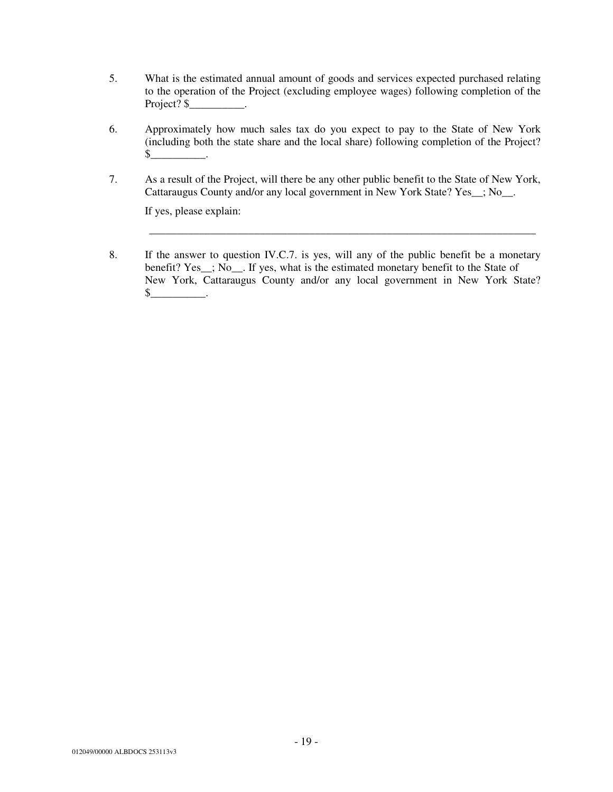- 5. What is the estimated annual amount of goods and services expected purchased relating to the operation of the Project (excluding employee wages) following completion of the Project? \$
- 6. Approximately how much sales tax do you expect to pay to the State of New York (including both the state share and the local share) following completion of the Project?  $\frac{\S_{\text{max}}}{\S_{\text{max}}}$ .
- 7. As a result of the Project, will there be any other public benefit to the State of New York, Cattaraugus County and/or any local government in New York State? Yes\_\_; No\_\_.

If yes, please explain:

8. If the answer to question IV.C.7. is yes, will any of the public benefit be a monetary benefit? Yes\_; No\_\_. If yes, what is the estimated monetary benefit to the State of New York, Cattaraugus County and/or any local government in New York State?  $\mathbb S$  .

\_\_\_\_\_\_\_\_\_\_\_\_\_\_\_\_\_\_\_\_\_\_\_\_\_\_\_\_\_\_\_\_\_\_\_\_\_\_\_\_\_\_\_\_\_\_\_\_\_\_\_\_\_\_\_\_\_\_\_\_\_\_\_\_\_\_\_\_\_\_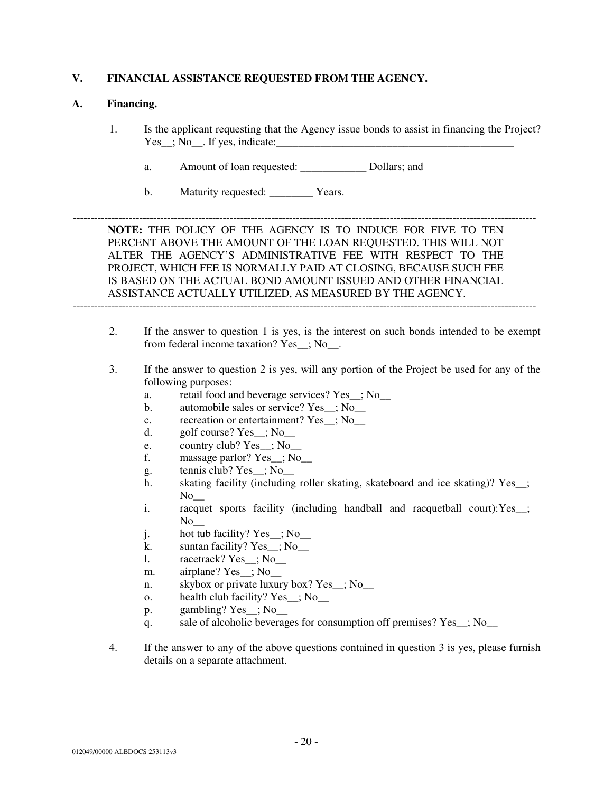## **V. FINANCIAL ASSISTANCE REQUESTED FROM THE AGENCY.**

#### **A. Financing.**

1. Is the applicant requesting that the Agency issue bonds to assist in financing the Project?  $Yes\_$ ;  $No\_$ . If yes, indicate:

-------------------------------------------------------------------------------------------------------------------------------------

- a. Amount of loan requested: Dollars; and
- b. Maturity requested: Years.

**NOTE:** THE POLICY OF THE AGENCY IS TO INDUCE FOR FIVE TO TEN PERCENT ABOVE THE AMOUNT OF THE LOAN REQUESTED. THIS WILL NOT ALTER THE AGENCY'S ADMINISTRATIVE FEE WITH RESPECT TO THE PROJECT, WHICH FEE IS NORMALLY PAID AT CLOSING, BECAUSE SUCH FEE IS BASED ON THE ACTUAL BOND AMOUNT ISSUED AND OTHER FINANCIAL ASSISTANCE ACTUALLY UTILIZED, AS MEASURED BY THE AGENCY.

- 2. If the answer to question 1 is yes, is the interest on such bonds intended to be exempt from federal income taxation? Yes\_; No\_.
- 3. If the answer to question 2 is yes, will any portion of the Project be used for any of the following purposes:
	- a. retail food and beverage services? Yes ; No.
	- b. automobile sales or service? Yes\_; No\_\_
	- c. recreation or entertainment? Yes : No
	- d. golf course?  $Yes$  ;  $No$
	- e. country club? Yes\_\_; No\_\_
	- f. massage parlor? Yes\_\_; No\_\_
	- g. tennis club? Yes\_\_; No\_\_
	- h. skating facility (including roller skating, skateboard and ice skating)? Yes\_;  $\overline{N}$ o $\overline{N}$
	- i. racquet sports facility (including handball and racquetball court):Yes\_\_;  $No$
	- j. hot tub facility? Yes\_\_; No\_\_
	- k. suntan facility? Yes  $\therefore$  No
	- l. racetrack? Yes\_\_; No\_\_
	- m. airplane? Yes\_; No\_\_
	- n. skybox or private luxury box? Yes ; No
	- o. health club facility? Yes\_; No\_\_
	- p. gambling? Yes\_; No\_\_
	- q. sale of alcoholic beverages for consumption off premises? Yes\_; No\_\_
- 4. If the answer to any of the above questions contained in question 3 is yes, please furnish details on a separate attachment.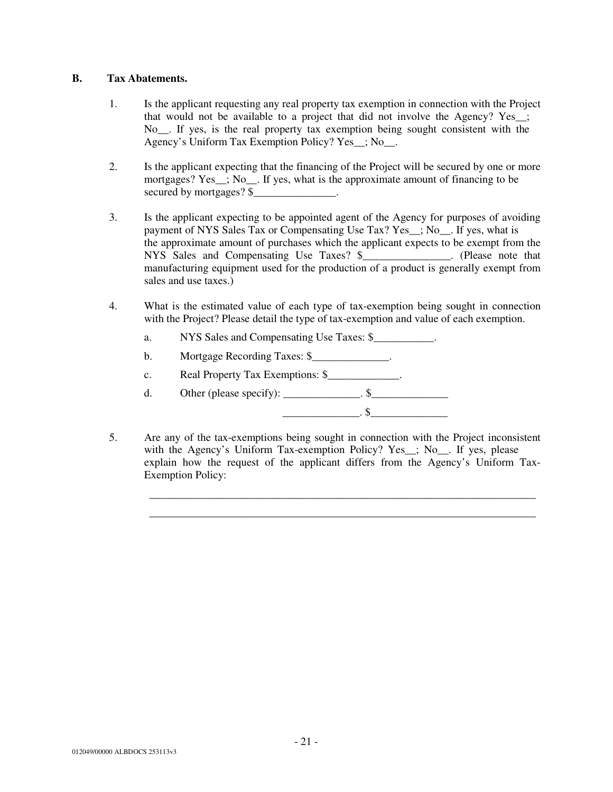## **B. Tax Abatements.**

- 1. Is the applicant requesting any real property tax exemption in connection with the Project that would not be available to a project that did not involve the Agency? Yes\_\_; No\_\_. If yes, is the real property tax exemption being sought consistent with the Agency's Uniform Tax Exemption Policy? Yes\_\_; No\_\_.
- 2. Is the applicant expecting that the financing of the Project will be secured by one or more mortgages? Yes<sub>\_\_\_</sub>; No<sub>\_\_</sub>. If yes, what is the approximate amount of financing to be secured by mortgages? \$
- 3. Is the applicant expecting to be appointed agent of the Agency for purposes of avoiding payment of NYS Sales Tax or Compensating Use Tax? Yes\_\_; No\_\_. If yes, what is the approximate amount of purchases which the applicant expects to be exempt from the NYS Sales and Compensating Use Taxes? \$\_\_\_\_\_\_\_\_\_\_\_\_\_\_. (Please note that manufacturing equipment used for the production of a product is generally exempt from sales and use taxes.)
- 4. What is the estimated value of each type of tax-exemption being sought in connection with the Project? Please detail the type of tax-exemption and value of each exemption.
	- a. NYS Sales and Compensating Use Taxes: \$\_\_\_\_\_\_\_\_\_\_\_.
	- b. Mortgage Recording Taxes: \$\_\_\_\_\_\_\_\_\_\_\_\_\_\_.
	- c. Real Property Tax Exemptions: \$\_\_\_\_\_\_\_\_\_\_\_\_\_.
	- d. Other (please specify): \_\_\_\_\_\_\_\_\_\_\_\_\_.  $\$ \_\_\_\_\_\_\_\_\_\_\_\_\_\_. \$\_\_\_\_\_\_\_\_\_\_\_\_\_\_
- 5. Are any of the tax-exemptions being sought in connection with the Project inconsistent with the Agency's Uniform Tax-exemption Policy? Yes\_; No\_\_. If yes, please explain how the request of the applicant differs from the Agency's Uniform Tax-Exemption Policy:

\_\_\_\_\_\_\_\_\_\_\_\_\_\_\_\_\_\_\_\_\_\_\_\_\_\_\_\_\_\_\_\_\_\_\_\_\_\_\_\_\_\_\_\_\_\_\_\_\_\_\_\_\_\_\_\_\_\_\_\_\_\_\_\_\_\_\_\_\_\_ \_\_\_\_\_\_\_\_\_\_\_\_\_\_\_\_\_\_\_\_\_\_\_\_\_\_\_\_\_\_\_\_\_\_\_\_\_\_\_\_\_\_\_\_\_\_\_\_\_\_\_\_\_\_\_\_\_\_\_\_\_\_\_\_\_\_\_\_\_\_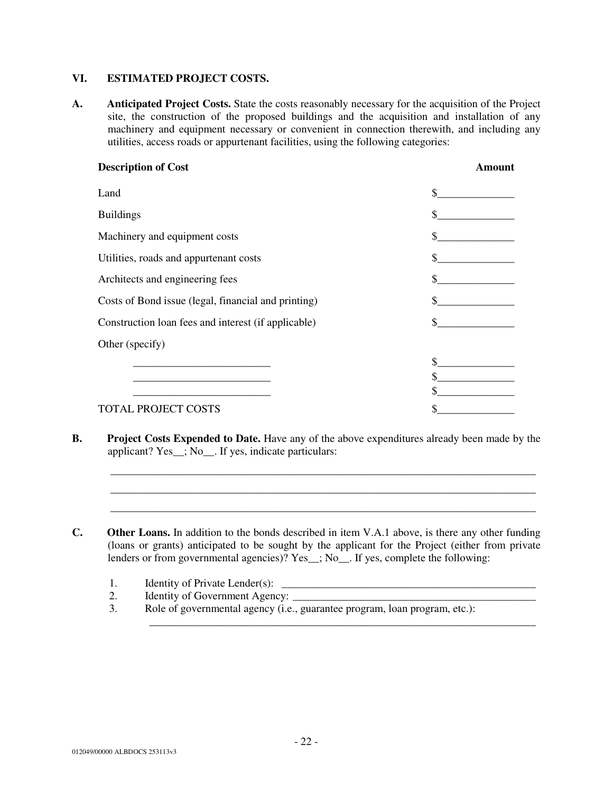## **VI. ESTIMATED PROJECT COSTS.**

**A. Anticipated Project Costs.** State the costs reasonably necessary for the acquisition of the Project site, the construction of the proposed buildings and the acquisition and installation of any machinery and equipment necessary or convenient in connection therewith, and including any utilities, access roads or appurtenant facilities, using the following categories:

| <b>Description of Cost</b>                          | Amount |
|-----------------------------------------------------|--------|
| Land                                                | \$.    |
| <b>Buildings</b>                                    |        |
| Machinery and equipment costs                       |        |
| Utilities, roads and appurtenant costs              |        |
| Architects and engineering fees                     |        |
| Costs of Bond issue (legal, financial and printing) |        |
| Construction loan fees and interest (if applicable) |        |
| Other (specify)                                     |        |
|                                                     |        |
|                                                     |        |
|                                                     |        |
| <b>TOTAL PROJECT COSTS</b>                          |        |

**B. Project Costs Expended to Date.** Have any of the above expenditures already been made by the applicant? Yes\_\_; No\_\_. If yes, indicate particulars:

\_\_\_\_\_\_\_\_\_\_\_\_\_\_\_\_\_\_\_\_\_\_\_\_\_\_\_\_\_\_\_\_\_\_\_\_\_\_\_\_\_\_\_\_\_\_\_\_\_\_\_\_\_\_\_\_\_\_\_\_\_\_\_\_\_\_\_\_\_\_\_\_\_\_\_\_\_ \_\_\_\_\_\_\_\_\_\_\_\_\_\_\_\_\_\_\_\_\_\_\_\_\_\_\_\_\_\_\_\_\_\_\_\_\_\_\_\_\_\_\_\_\_\_\_\_\_\_\_\_\_\_\_\_\_\_\_\_\_\_\_\_\_\_\_\_\_\_\_\_\_\_\_\_\_ \_\_\_\_\_\_\_\_\_\_\_\_\_\_\_\_\_\_\_\_\_\_\_\_\_\_\_\_\_\_\_\_\_\_\_\_\_\_\_\_\_\_\_\_\_\_\_\_\_\_\_\_\_\_\_\_\_\_\_\_\_\_\_\_\_\_\_\_\_\_\_\_\_\_\_\_\_

\_\_\_\_\_\_\_\_\_\_\_\_\_\_\_\_\_\_\_\_\_\_\_\_\_\_\_\_\_\_\_\_\_\_\_\_\_\_\_\_\_\_\_\_\_\_\_\_\_\_\_\_\_\_\_\_\_\_\_\_\_\_\_\_\_\_\_\_\_\_

- **C. Other Loans.** In addition to the bonds described in item V.A.1 above, is there any other funding (loans or grants) anticipated to be sought by the applicant for the Project (either from private lenders or from governmental agencies)? Yes\_; No\_\_. If yes, complete the following:
	- 1. Identity of Private Lender(s): \_\_\_\_\_\_\_\_\_\_\_\_\_\_\_\_\_\_\_\_\_\_\_\_\_\_\_\_\_\_\_\_\_\_\_\_\_\_\_\_\_\_\_\_\_\_
	- Identity of Government Agency:
	- 3. Role of governmental agency (i.e., guarantee program, loan program, etc.):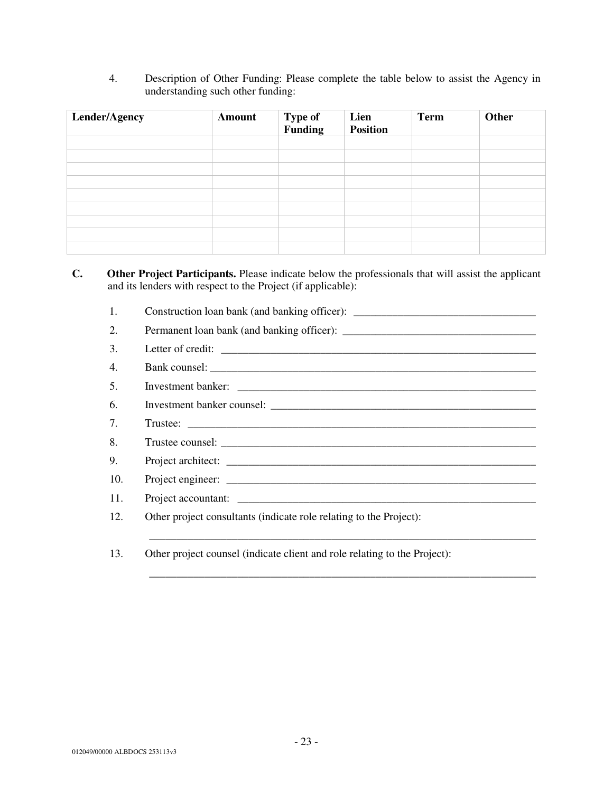4. Description of Other Funding: Please complete the table below to assist the Agency in understanding such other funding:

| Lender/Agency | Amount | Type of<br>Funding | Lien<br><b>Position</b> | <b>Term</b> | Other |  |
|---------------|--------|--------------------|-------------------------|-------------|-------|--|
|               |        |                    |                         |             |       |  |
|               |        |                    |                         |             |       |  |
|               |        |                    |                         |             |       |  |
|               |        |                    |                         |             |       |  |
|               |        |                    |                         |             |       |  |
|               |        |                    |                         |             |       |  |
|               |        |                    |                         |             |       |  |
|               |        |                    |                         |             |       |  |
|               |        |                    |                         |             |       |  |

## **C. Other Project Participants.** Please indicate below the professionals that will assist the applicant and its lenders with respect to the Project (if applicable):

1. Construction loan bank (and banking officer): \_\_\_\_\_\_\_\_\_\_\_\_\_\_\_\_\_\_\_\_\_\_\_\_\_\_\_\_\_\_\_ 2. Permanent loan bank (and banking officer): \_\_\_\_\_\_\_\_\_\_\_\_\_\_\_\_\_\_\_\_\_\_\_\_\_\_\_\_\_\_\_\_\_\_ 3. Letter of credit: \_\_\_\_\_\_\_\_\_\_\_\_\_\_\_\_\_\_\_\_\_\_\_\_\_\_\_\_\_\_\_\_\_\_\_\_\_\_\_\_\_\_\_\_\_\_\_\_\_\_\_\_\_\_\_\_\_ 4. Bank counsel: \_\_\_\_\_\_\_\_\_\_\_\_\_\_\_\_\_\_\_\_\_\_\_\_\_\_\_\_\_\_\_\_\_\_\_\_\_\_\_\_\_\_\_\_\_\_\_\_\_\_\_\_\_\_\_\_\_\_\_ 5. Investment banker: \_\_\_\_\_\_\_\_\_\_\_\_\_\_\_\_\_\_\_\_\_\_\_\_\_\_\_\_\_\_\_\_\_\_\_\_\_\_\_\_\_\_\_\_\_\_\_\_\_\_\_\_\_\_ 6. Investment banker counsel: 7. Trustee: \_\_\_\_\_\_\_\_\_\_\_\_\_\_\_\_\_\_\_\_\_\_\_\_\_\_\_\_\_\_\_\_\_\_\_\_\_\_\_\_\_\_\_\_\_\_\_\_\_\_\_\_\_\_\_\_\_\_\_\_\_\_\_ 8. Trustee counsel: 9. Project architect: \_\_\_\_\_\_\_\_\_\_\_\_\_\_\_\_\_\_\_\_\_\_\_\_\_\_\_\_\_\_\_\_\_\_\_\_\_\_\_\_\_\_\_\_\_\_\_\_\_\_\_\_\_\_\_\_ 10. Project engineer: 11. Project accountant: 12. Other project consultants (indicate role relating to the Project): \_\_\_\_\_\_\_\_\_\_\_\_\_\_\_\_\_\_\_\_\_\_\_\_\_\_\_\_\_\_\_\_\_\_\_\_\_\_\_\_\_\_\_\_\_\_\_\_\_\_\_\_\_\_\_\_\_\_\_\_\_\_\_\_\_\_\_\_\_\_

\_\_\_\_\_\_\_\_\_\_\_\_\_\_\_\_\_\_\_\_\_\_\_\_\_\_\_\_\_\_\_\_\_\_\_\_\_\_\_\_\_\_\_\_\_\_\_\_\_\_\_\_\_\_\_\_\_\_\_\_\_\_\_\_\_\_\_\_\_\_

13. Other project counsel (indicate client and role relating to the Project):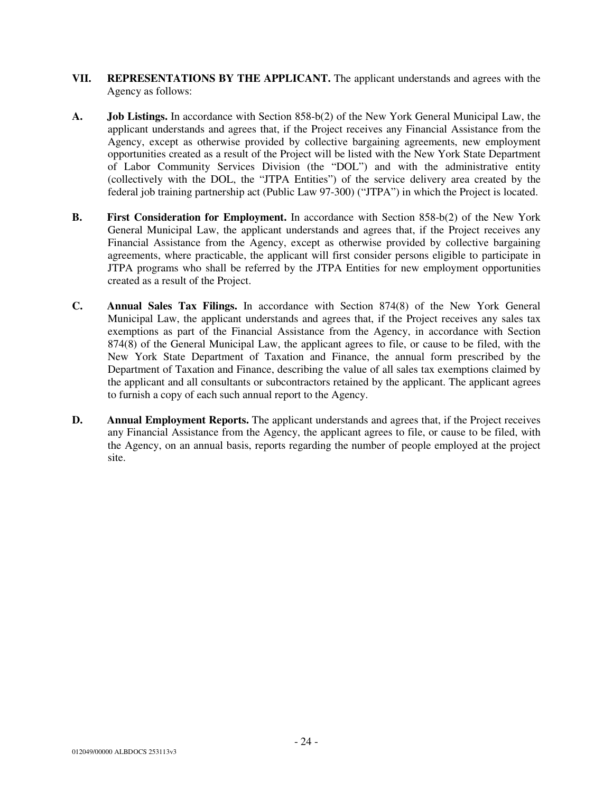- **VII. REPRESENTATIONS BY THE APPLICANT.** The applicant understands and agrees with the Agency as follows:
- **A. Job Listings.** In accordance with Section 858-b(2) of the New York General Municipal Law, the applicant understands and agrees that, if the Project receives any Financial Assistance from the Agency, except as otherwise provided by collective bargaining agreements, new employment opportunities created as a result of the Project will be listed with the New York State Department of Labor Community Services Division (the "DOL") and with the administrative entity (collectively with the DOL, the "JTPA Entities") of the service delivery area created by the federal job training partnership act (Public Law 97-300) ("JTPA") in which the Project is located.
- **B. First Consideration for Employment.** In accordance with Section 858-b(2) of the New York General Municipal Law, the applicant understands and agrees that, if the Project receives any Financial Assistance from the Agency, except as otherwise provided by collective bargaining agreements, where practicable, the applicant will first consider persons eligible to participate in JTPA programs who shall be referred by the JTPA Entities for new employment opportunities created as a result of the Project.
- **C. Annual Sales Tax Filings.** In accordance with Section 874(8) of the New York General Municipal Law, the applicant understands and agrees that, if the Project receives any sales tax exemptions as part of the Financial Assistance from the Agency, in accordance with Section 874(8) of the General Municipal Law, the applicant agrees to file, or cause to be filed, with the New York State Department of Taxation and Finance, the annual form prescribed by the Department of Taxation and Finance, describing the value of all sales tax exemptions claimed by the applicant and all consultants or subcontractors retained by the applicant. The applicant agrees to furnish a copy of each such annual report to the Agency.
- **D.** Annual Employment Reports. The applicant understands and agrees that, if the Project receives any Financial Assistance from the Agency, the applicant agrees to file, or cause to be filed, with the Agency, on an annual basis, reports regarding the number of people employed at the project site.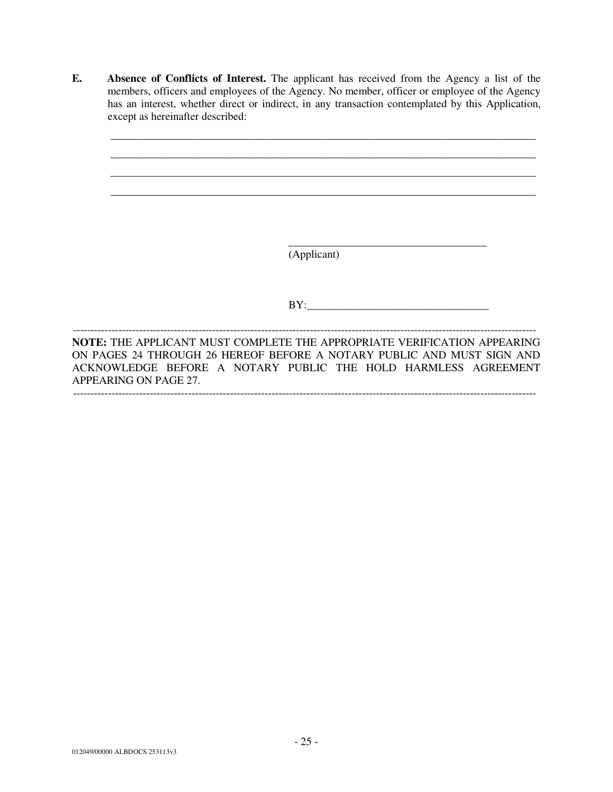**E. Absence of Conflicts of Interest.** The applicant has received from the Agency a list of the members, officers and employees of the Agency. No member, officer or employee of the Agency has an interest, whether direct or indirect, in any transaction contemplated by this Application, except as hereinafter described:

\_\_\_\_\_\_\_\_\_\_\_\_\_\_\_\_\_\_\_\_\_\_\_\_\_\_\_\_\_\_\_\_\_\_\_\_\_\_\_\_\_\_\_\_\_\_\_\_\_\_\_\_\_\_\_\_\_\_\_\_\_\_\_\_\_\_\_\_\_\_\_\_\_\_\_\_\_ \_\_\_\_\_\_\_\_\_\_\_\_\_\_\_\_\_\_\_\_\_\_\_\_\_\_\_\_\_\_\_\_\_\_\_\_\_\_\_\_\_\_\_\_\_\_\_\_\_\_\_\_\_\_\_\_\_\_\_\_\_\_\_\_\_\_\_\_\_\_\_\_\_\_\_\_\_ \_\_\_\_\_\_\_\_\_\_\_\_\_\_\_\_\_\_\_\_\_\_\_\_\_\_\_\_\_\_\_\_\_\_\_\_\_\_\_\_\_\_\_\_\_\_\_\_\_\_\_\_\_\_\_\_\_\_\_\_\_\_\_\_\_\_\_\_\_\_\_\_\_\_\_\_\_ \_\_\_\_\_\_\_\_\_\_\_\_\_\_\_\_\_\_\_\_\_\_\_\_\_\_\_\_\_\_\_\_\_\_\_\_\_\_\_\_\_\_\_\_\_\_\_\_\_\_\_\_\_\_\_\_\_\_\_\_\_\_\_\_\_\_\_\_\_\_\_\_\_\_\_\_\_ \_\_\_\_\_\_\_\_\_\_\_\_\_\_\_\_\_\_\_\_\_\_\_\_\_\_\_\_\_\_\_\_\_\_\_\_ (Applicant)  $BY:$ ------------------------------------------------------------------------------------------------------------------------------------- **NOTE:** THE APPLICANT MUST COMPLETE THE APPROPRIATE VERIFICATION APPEARING ON PAGES 24 THROUGH 26 HEREOF BEFORE A NOTARY PUBLIC AND MUST SIGN AND ACKNOWLEDGE BEFORE A NOTARY PUBLIC THE HOLD HARMLESS AGREEMENT APPEARING ON PAGE 27. -------------------------------------------------------------------------------------------------------------------------------------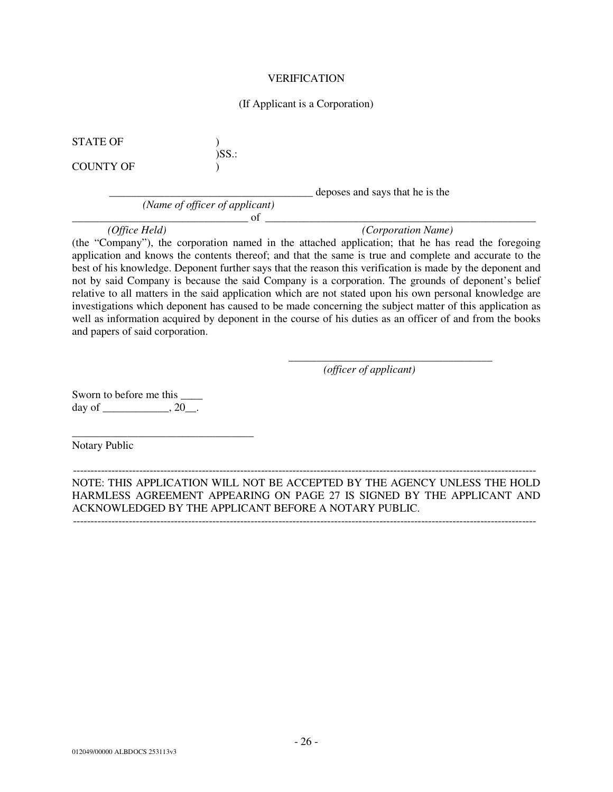#### VERIFICATION

#### (If Applicant is a Corporation)

STATE OF  $\qquad \qquad$  )

COUNTY OF  $\qquad \qquad$  )

)SS.:

*(Name of officer of applicant)* 

\_\_\_\_\_\_\_\_\_\_\_\_\_\_\_\_\_\_\_\_\_\_\_\_\_\_\_\_\_\_\_\_\_\_\_\_\_ deposes and says that he is the

 $\circ$  of  $\Box$ 

*(Office Held) (Corporation Name)* 

(the "Company"), the corporation named in the attached application; that he has read the foregoing application and knows the contents thereof; and that the same is true and complete and accurate to the best of his knowledge. Deponent further says that the reason this verification is made by the deponent and not by said Company is because the said Company is a corporation. The grounds of deponent's belief relative to all matters in the said application which are not stated upon his own personal knowledge are investigations which deponent has caused to be made concerning the subject matter of this application as well as information acquired by deponent in the course of his duties as an officer of and from the books and papers of said corporation.

*(officer of applicant)* 

\_\_\_\_\_\_\_\_\_\_\_\_\_\_\_\_\_\_\_\_\_\_\_\_\_\_\_\_\_\_\_\_\_\_\_\_\_

Sworn to before me this  $\frac{ }{ }$ day of \_\_\_\_\_\_\_\_\_\_\_,  $20$ \_\_.

\_\_\_\_\_\_\_\_\_\_\_\_\_\_\_\_\_\_\_\_\_\_\_\_\_\_\_\_\_\_\_\_\_

Notary Public

------------------------------------------------------------------------------------------------------------------------------------- NOTE: THIS APPLICATION WILL NOT BE ACCEPTED BY THE AGENCY UNLESS THE HOLD HARMLESS AGREEMENT APPEARING ON PAGE 27 IS SIGNED BY THE APPLICANT AND ACKNOWLEDGED BY THE APPLICANT BEFORE A NOTARY PUBLIC.

-------------------------------------------------------------------------------------------------------------------------------------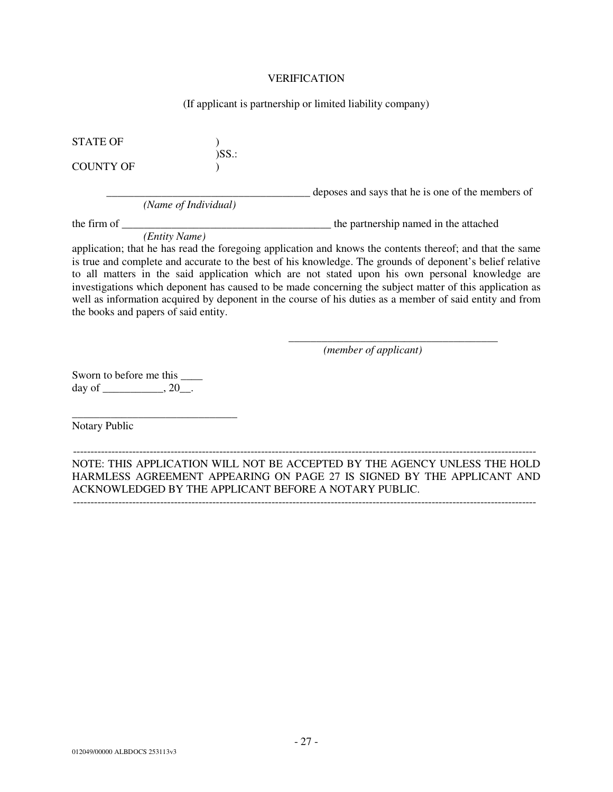#### VERIFICATION

#### (If applicant is partnership or limited liability company)

STATE OF  $\qquad \qquad$  )

COUNTY OF  $\qquad$  )

*(Name of Individual)* 

)SS.:

\_\_\_\_\_\_\_\_\_\_\_\_\_\_\_\_\_\_\_\_\_\_\_\_\_\_\_\_\_\_\_\_\_\_\_\_\_ deposes and says that he is one of the members of

the firm of \_\_\_\_\_\_\_\_\_\_\_\_\_\_\_\_\_\_\_\_\_\_\_\_\_\_\_\_\_\_\_\_\_\_\_\_\_\_ the partnership named in the attached

*(Entity Name)* 

application; that he has read the foregoing application and knows the contents thereof; and that the same is true and complete and accurate to the best of his knowledge. The grounds of deponent's belief relative to all matters in the said application which are not stated upon his own personal knowledge are investigations which deponent has caused to be made concerning the subject matter of this application as well as information acquired by deponent in the course of his duties as a member of said entity and from the books and papers of said entity.

*(member of applicant)* 

\_\_\_\_\_\_\_\_\_\_\_\_\_\_\_\_\_\_\_\_\_\_\_\_\_\_\_\_\_\_\_\_\_\_\_\_\_\_

Sworn to before me this \_\_\_\_ day of \_\_\_\_\_\_\_\_\_\_\_, 20\_\_.

\_\_\_\_\_\_\_\_\_\_\_\_\_\_\_\_\_\_\_\_\_\_\_\_\_\_\_\_\_\_

Notary Public

------------------------------------------------------------------------------------------------------------------------------------- NOTE: THIS APPLICATION WILL NOT BE ACCEPTED BY THE AGENCY UNLESS THE HOLD HARMLESS AGREEMENT APPEARING ON PAGE 27 IS SIGNED BY THE APPLICANT AND ACKNOWLEDGED BY THE APPLICANT BEFORE A NOTARY PUBLIC. -------------------------------------------------------------------------------------------------------------------------------------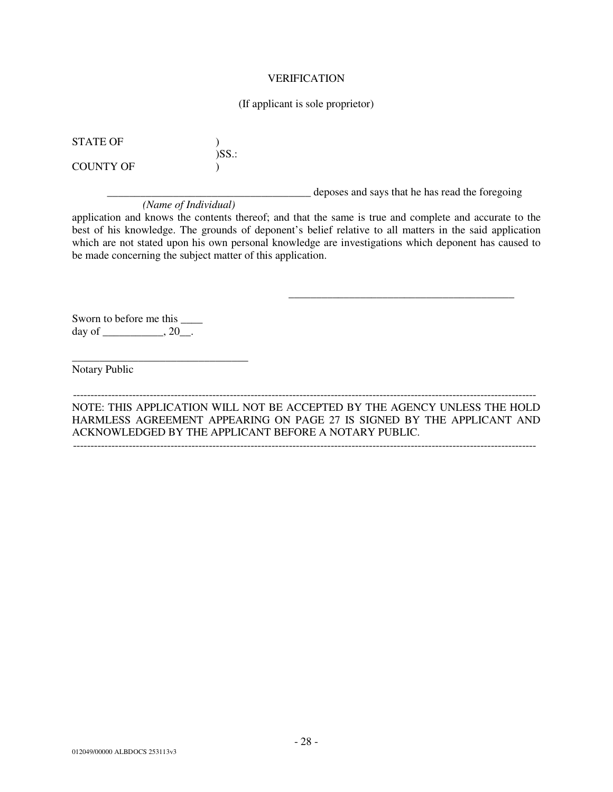#### VERIFICATION

#### (If applicant is sole proprietor)

STATE OF  $\qquad \qquad$  )

COUNTY OF  $\qquad$  )

\_\_\_\_\_\_\_\_\_\_\_\_\_\_\_\_\_\_\_\_\_\_\_\_\_\_\_\_\_\_\_\_\_\_\_\_\_ deposes and says that he has read the foregoing

\_\_\_\_\_\_\_\_\_\_\_\_\_\_\_\_\_\_\_\_\_\_\_\_\_\_\_\_\_\_\_\_\_\_\_\_\_\_\_\_\_

*(Name of Individual)* 

)SS.:

application and knows the contents thereof; and that the same is true and complete and accurate to the best of his knowledge. The grounds of deponent's belief relative to all matters in the said application which are not stated upon his own personal knowledge are investigations which deponent has caused to be made concerning the subject matter of this application.

Sworn to before me this  $\frac{ }{ }$ day of  $\_\_\_\_$ , 20 $\_\_\_$ .

\_\_\_\_\_\_\_\_\_\_\_\_\_\_\_\_\_\_\_\_\_\_\_\_\_\_\_\_\_\_\_\_

Notary Public

------------------------------------------------------------------------------------------------------------------------------------- NOTE: THIS APPLICATION WILL NOT BE ACCEPTED BY THE AGENCY UNLESS THE HOLD HARMLESS AGREEMENT APPEARING ON PAGE 27 IS SIGNED BY THE APPLICANT AND ACKNOWLEDGED BY THE APPLICANT BEFORE A NOTARY PUBLIC.

-------------------------------------------------------------------------------------------------------------------------------------